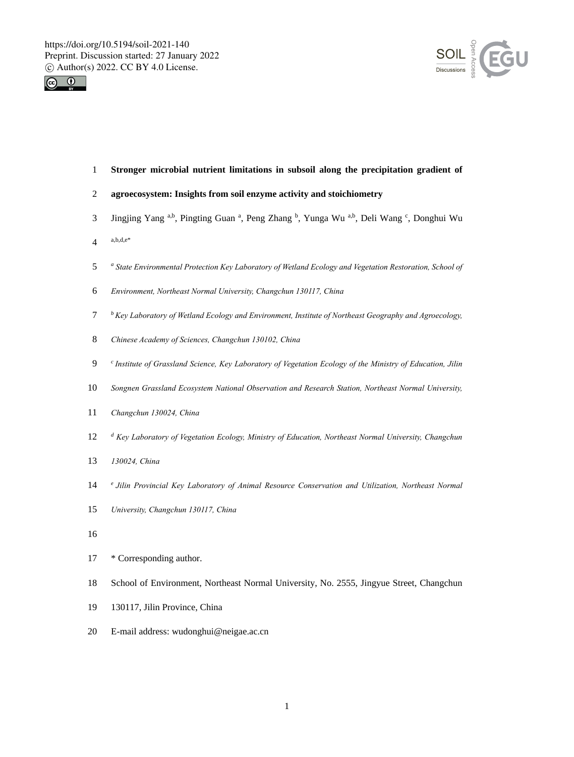



**Stronger microbial nutrient limitations in subsoil along the precipitation gradient of** 

# **agroecosystem: Insights from soil enzyme activity and stoichiometry**

- 3 Jingjing Yang a,b, Pingting Guan a, Peng Zhang b, Yunga Wu a,b, Deli Wang c, Donghui Wu
- $4^{a,b,d,e^*}$
- *<sup>a</sup> State Environmental Protection Key Laboratory of Wetland Ecology and Vegetation Restoration, School of*
- *Environment, Northeast Normal University, Changchun 130117, China*
- *<sup>b</sup> Key Laboratory of Wetland Ecology and Environment, Institute of Northeast Geography and Agroecology,*
- *Chinese Academy of Sciences, Changchun 130102, China*
- *<sup>c</sup> Institute of Grassland Science, Key Laboratory of Vegetation Ecology of the Ministry of Education, Jilin*
- *Songnen Grassland Ecosystem National Observation and Research Station, Northeast Normal University,*
- *Changchun 130024, China*
- *<sup>d</sup> Key Laboratory of Vegetation Ecology, Ministry of Education, Northeast Normal University, Changchun*
- *130024, China*
- *<sup>e</sup> Jilin Provincial Key Laboratory of Animal Resource Conservation and Utilization, Northeast Normal*
- *University, Changchun 130117, China*
- 
- \* Corresponding author.
- School of Environment, Northeast Normal University, No. 2555, Jingyue Street, Changchun
- 130117, Jilin Province, China
- E-mail address: wudonghui@neigae.ac.cn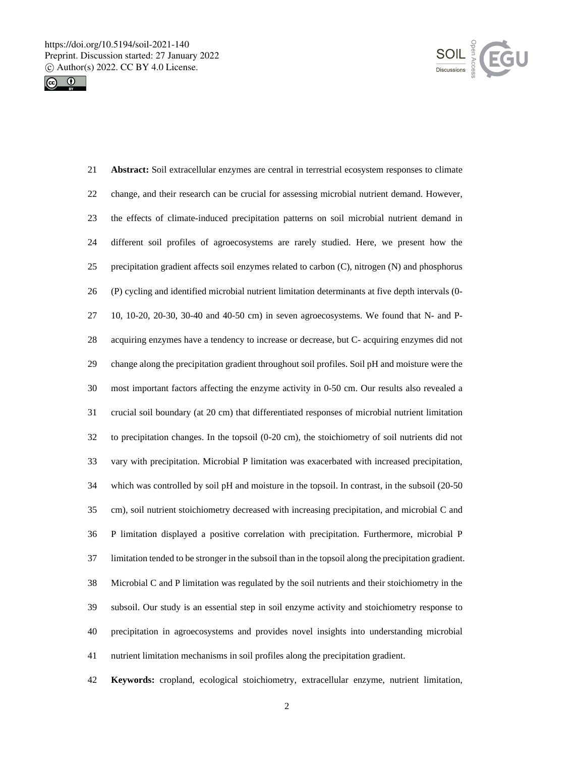



 **Abstract:** Soil extracellular enzymes are central in terrestrial ecosystem responses to climate change, and their research can be crucial for assessing microbial nutrient demand. However, the effects of climate-induced precipitation patterns on soil microbial nutrient demand in different soil profiles of agroecosystems are rarely studied. Here, we present how the precipitation gradient affects soil enzymes related to carbon (C), nitrogen (N) and phosphorus (P) cycling and identified microbial nutrient limitation determinants at five depth intervals (0- 10, 10-20, 20-30, 30-40 and 40-50 cm) in seven agroecosystems. We found that N- and P- acquiring enzymes have a tendency to increase or decrease, but C- acquiring enzymes did not change along the precipitation gradient throughout soil profiles. Soil pH and moisture were the most important factors affecting the enzyme activity in 0-50 cm. Our results also revealed a crucial soil boundary (at 20 cm) that differentiated responses of microbial nutrient limitation to precipitation changes. In the topsoil (0-20 cm), the stoichiometry of soil nutrients did not vary with precipitation. Microbial P limitation was exacerbated with increased precipitation, which was controlled by soil pH and moisture in the topsoil. In contrast, in the subsoil (20-50 cm), soil nutrient stoichiometry decreased with increasing precipitation, and microbial C and P limitation displayed a positive correlation with precipitation. Furthermore, microbial P limitation tended to be stronger in the subsoil than in the topsoil along the precipitation gradient. Microbial C and P limitation was regulated by the soil nutrients and their stoichiometry in the subsoil. Our study is an essential step in soil enzyme activity and stoichiometry response to precipitation in agroecosystems and provides novel insights into understanding microbial nutrient limitation mechanisms in soil profiles along the precipitation gradient.

**Keywords:** cropland, ecological stoichiometry, extracellular enzyme, nutrient limitation,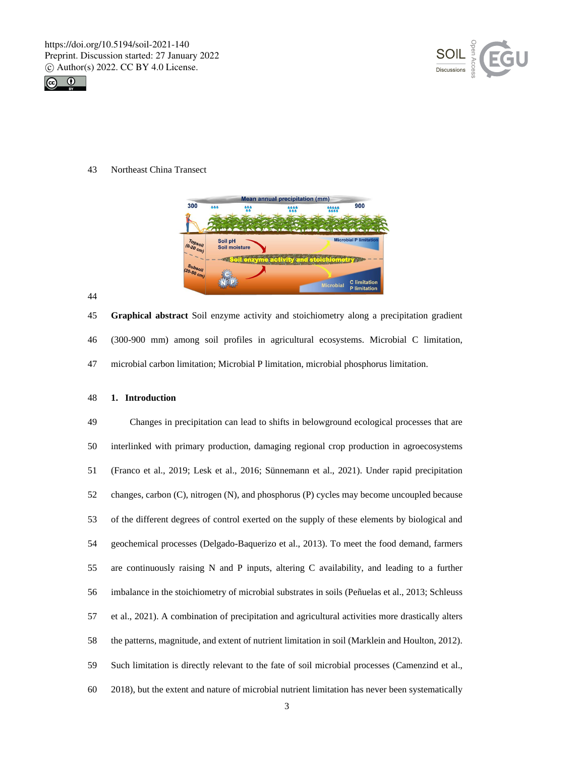



Northeast China Transect



 **Graphical abstract** Soil enzyme activity and stoichiometry along a precipitation gradient (300-900 mm) among soil profiles in agricultural ecosystems. Microbial C limitation, microbial carbon limitation; Microbial P limitation, microbial phosphorus limitation.

**1. Introduction**

 Changes in precipitation can lead to shifts in belowground ecological processes that are interlinked with primary production, damaging regional crop production in agroecosystems (Franco et al., 2019; Lesk et al., 2016; Sünnemann et al., 2021). Under rapid precipitation changes, carbon (C), nitrogen (N), and phosphorus (P) cycles may become uncoupled because of the different degrees of control exerted on the supply of these elements by biological and geochemical processes (Delgado-Baquerizo et al., 2013). To meet the food demand, farmers are continuously raising N and P inputs, altering C availability, and leading to a further imbalance in the stoichiometry of microbial substrates in soils (Peñuelas et al., 2013; Schleuss et al., 2021). A combination of precipitation and agricultural activities more drastically alters the patterns, magnitude, and extent of nutrient limitation in soil (Marklein and Houlton, 2012). Such limitation is directly relevant to the fate of soil microbial processes (Camenzind et al., 2018), but the extent and nature of microbial nutrient limitation has never been systematically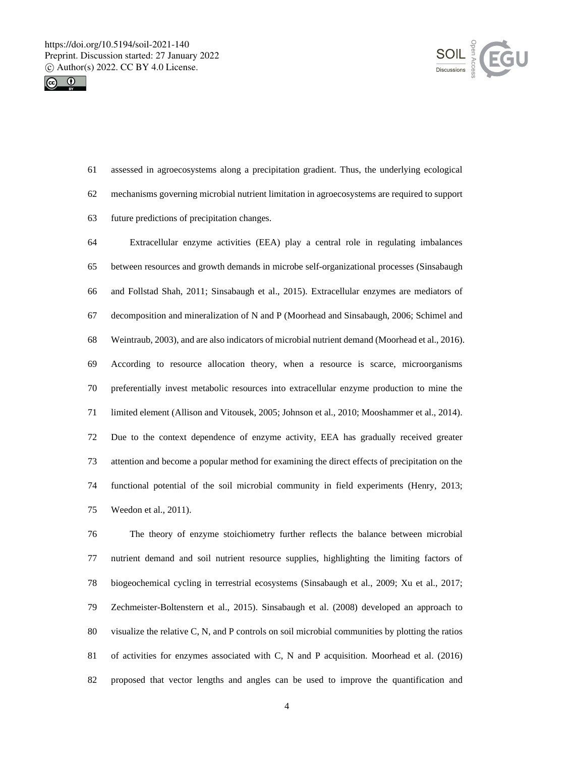



 assessed in agroecosystems along a precipitation gradient. Thus, the underlying ecological mechanisms governing microbial nutrient limitation in agroecosystems are required to support future predictions of precipitation changes.

 Extracellular enzyme activities (EEA) play a central role in regulating imbalances between resources and growth demands in microbe self-organizational processes (Sinsabaugh and Follstad Shah, 2011; Sinsabaugh et al., 2015). Extracellular enzymes are mediators of decomposition and mineralization of N and P (Moorhead and Sinsabaugh, 2006; Schimel and Weintraub, 2003), and are also indicators of microbial nutrient demand (Moorhead et al., 2016). According to resource allocation theory, when a resource is scarce, microorganisms preferentially invest metabolic resources into extracellular enzyme production to mine the limited element (Allison and Vitousek, 2005; Johnson et al., 2010; Mooshammer et al., 2014). Due to the context dependence of enzyme activity, EEA has gradually received greater attention and become a popular method for examining the direct effects of precipitation on the functional potential of the soil microbial community in field experiments (Henry, 2013; Weedon et al., 2011).

 The theory of enzyme stoichiometry further reflects the balance between microbial nutrient demand and soil nutrient resource supplies, highlighting the limiting factors of biogeochemical cycling in terrestrial ecosystems (Sinsabaugh et al., 2009; Xu et al., 2017; Zechmeister-Boltenstern et al., 2015). Sinsabaugh et al. (2008) developed an approach to visualize the relative C, N, and P controls on soil microbial communities by plotting the ratios of activities for enzymes associated with C, N and P acquisition. Moorhead et al. (2016) proposed that vector lengths and angles can be used to improve the quantification and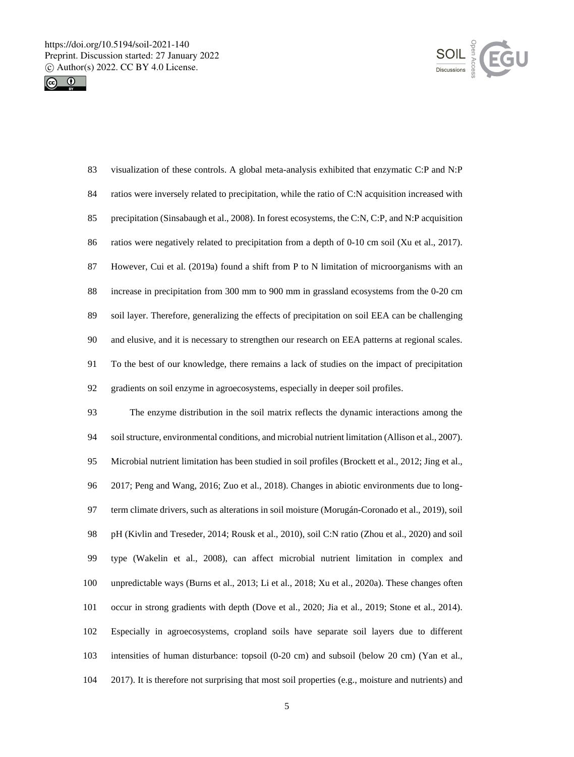



 visualization of these controls. A global meta-analysis exhibited that enzymatic C:P and N:P ratios were inversely related to precipitation, while the ratio of C:N acquisition increased with precipitation (Sinsabaugh et al., 2008). In forest ecosystems, the C:N, C:P, and N:P acquisition ratios were negatively related to precipitation from a depth of 0-10 cm soil (Xu et al., 2017). However, Cui et al. (2019a) found a shift from P to N limitation of microorganisms with an increase in precipitation from 300 mm to 900 mm in grassland ecosystems from the 0-20 cm soil layer. Therefore, generalizing the effects of precipitation on soil EEA can be challenging and elusive, and it is necessary to strengthen our research on EEA patterns at regional scales. To the best of our knowledge, there remains a lack of studies on the impact of precipitation gradients on soil enzyme in agroecosystems, especially in deeper soil profiles.

 The enzyme distribution in the soil matrix reflects the dynamic interactions among the soil structure, environmental conditions, and microbial nutrient limitation (Allison et al., 2007). Microbial nutrient limitation has been studied in soil profiles (Brockett et al., 2012; Jing et al., 2017; Peng and Wang, 2016; Zuo et al., 2018). Changes in abiotic environments due to long- term climate drivers, such as alterations in soil moisture (Morugán-Coronado et al., 2019), soil pH (Kivlin and Treseder, 2014; Rousk et al., 2010), soil C:N ratio (Zhou et al., 2020) and soil type (Wakelin et al., 2008), can affect microbial nutrient limitation in complex and unpredictable ways (Burns et al., 2013; Li et al., 2018; Xu et al., 2020a). These changes often occur in strong gradients with depth (Dove et al., 2020; Jia et al., 2019; Stone et al., 2014). Especially in agroecosystems, cropland soils have separate soil layers due to different intensities of human disturbance: topsoil (0-20 cm) and subsoil (below 20 cm) (Yan et al., 2017). It is therefore not surprising that most soil properties (e.g., moisture and nutrients) and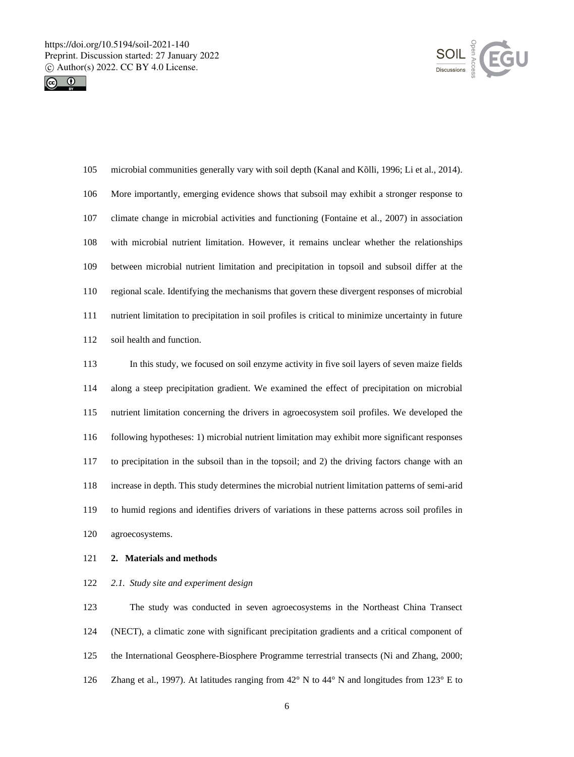



 microbial communities generally vary with soil depth (Kanal and Kõlli, 1996; Li et al., 2014). More importantly, emerging evidence shows that subsoil may exhibit a stronger response to climate change in microbial activities and functioning (Fontaine et al., 2007) in association with microbial nutrient limitation. However, it remains unclear whether the relationships between microbial nutrient limitation and precipitation in topsoil and subsoil differ at the regional scale. Identifying the mechanisms that govern these divergent responses of microbial nutrient limitation to precipitation in soil profiles is critical to minimize uncertainty in future soil health and function.

 In this study, we focused on soil enzyme activity in five soil layers of seven maize fields along a steep precipitation gradient. We examined the effect of precipitation on microbial nutrient limitation concerning the drivers in agroecosystem soil profiles. We developed the following hypotheses: 1) microbial nutrient limitation may exhibit more significant responses to precipitation in the subsoil than in the topsoil; and 2) the driving factors change with an increase in depth. This study determines the microbial nutrient limitation patterns of semi-arid to humid regions and identifies drivers of variations in these patterns across soil profiles in agroecosystems.

### **2. Materials and methods**

#### *2.1. Study site and experiment design*

 The study was conducted in seven agroecosystems in the Northeast China Transect (NECT), a climatic zone with significant precipitation gradients and a critical component of the International Geosphere-Biosphere Programme terrestrial transects (Ni and Zhang, 2000; 126 Zhang et al., 1997). At latitudes ranging from  $42^{\circ}$  N to  $44^{\circ}$  N and longitudes from  $123^{\circ}$  E to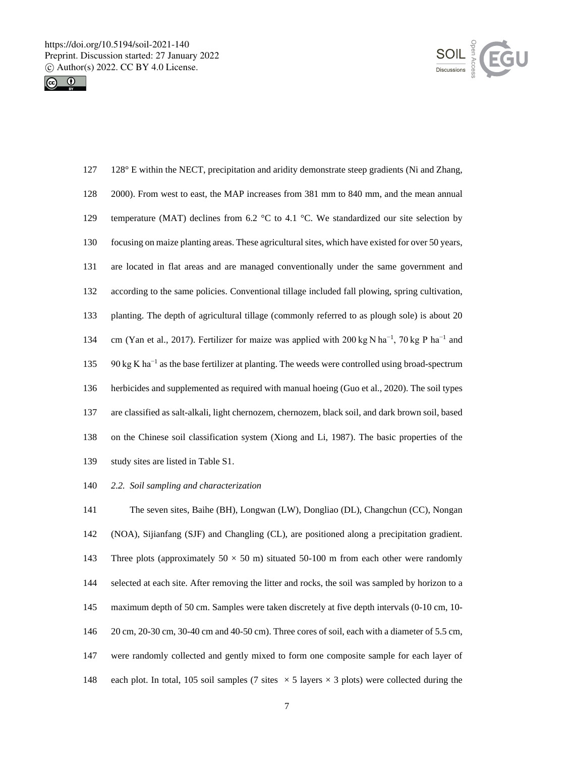



| 127 | 128° E within the NECT, precipitation and aridity demonstrate steep gradients (Ni and Zhang,                          |
|-----|-----------------------------------------------------------------------------------------------------------------------|
| 128 | 2000). From west to east, the MAP increases from 381 mm to 840 mm, and the mean annual                                |
| 129 | temperature (MAT) declines from 6.2 $\degree$ C to 4.1 $\degree$ C. We standardized our site selection by             |
| 130 | focusing on maize planting areas. These agricultural sites, which have existed for over 50 years,                     |
| 131 | are located in flat areas and are managed conventionally under the same government and                                |
| 132 | according to the same policies. Conventional tillage included fall plowing, spring cultivation,                       |
| 133 | planting. The depth of agricultural tillage (commonly referred to as plough sole) is about 20                         |
| 134 | cm (Yan et al., 2017). Fertilizer for maize was applied with 200 kg N ha <sup>-1</sup> , 70 kg P ha <sup>-1</sup> and |
| 135 | $90 \text{ kg K} \text{ ha}^{-1}$ as the base fertilizer at planting. The weeds were controlled using broad-spectrum  |
| 136 | herbicides and supplemented as required with manual hoeing (Guo et al., 2020). The soil types                         |
| 137 | are classified as salt-alkali, light chernozem, chernozem, black soil, and dark brown soil, based                     |
| 138 | on the Chinese soil classification system (Xiong and Li, 1987). The basic properties of the                           |
| 139 | study sites are listed in Table S1.                                                                                   |

*2.2. Soil sampling and characterization*

 The seven sites, Baihe (BH), Longwan (LW), Dongliao (DL), Changchun (CC), Nongan (NOA), Sijianfang (SJF) and Changling (CL), are positioned along a precipitation gradient. 143 Three plots (approximately  $50 \times 50$  m) situated  $50-100$  m from each other were randomly selected at each site. After removing the litter and rocks, the soil was sampled by horizon to a maximum depth of 50 cm. Samples were taken discretely at five depth intervals (0-10 cm, 10- 20 cm, 20-30 cm, 30-40 cm and 40-50 cm). Three cores of soil, each with a diameter of 5.5 cm, were randomly collected and gently mixed to form one composite sample for each layer of 148 each plot. In total, 105 soil samples (7 sites  $\times$  5 layers  $\times$  3 plots) were collected during the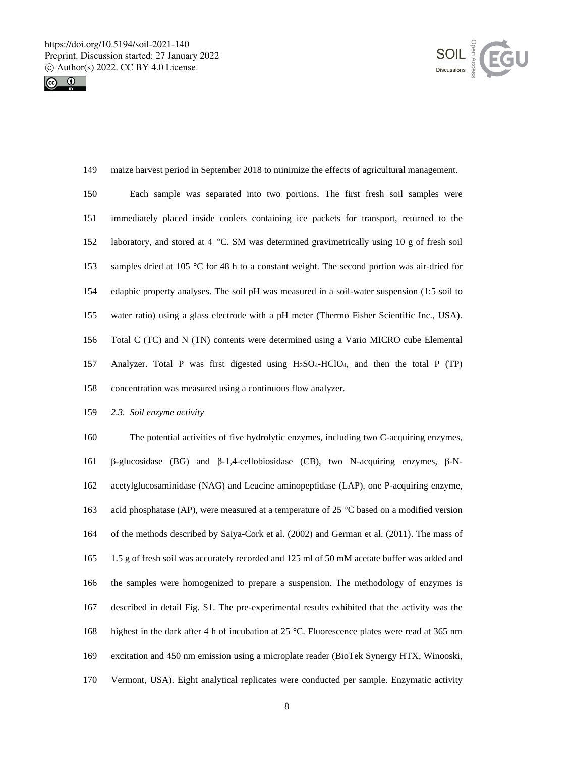



 maize harvest period in September 2018 to minimize the effects of agricultural management. Each sample was separated into two portions. The first fresh soil samples were immediately placed inside coolers containing ice packets for transport, returned to the laboratory, and stored at 4 °C. SM was determined gravimetrically using 10 g of fresh soil samples dried at 105 °C for 48 h to a constant weight. The second portion was air-dried for edaphic property analyses. The soil pH was measured in a soil-water suspension (1:5 soil to water ratio) using a glass electrode with a pH meter (Thermo Fisher Scientific Inc., USA). Total C (TC) and N (TN) contents were determined using a Vario MICRO cube Elemental Analyzer. Total P was first digested using H2SO4-HClO4, and then the total P (TP) concentration was measured using a continuous flow analyzer.

*2.3. Soil enzyme activity*

 The potential activities of five hydrolytic enzymes, including two C-acquiring enzymes, β-glucosidase (BG) and β-1,4-cellobiosidase (CB), two N-acquiring enzymes, β-N- acetylglucosaminidase (NAG) and Leucine aminopeptidase (LAP), one P-acquiring enzyme, acid phosphatase (AP), were measured at a temperature of 25 °C based on a modified version of the methods described by Saiya-Cork et al. (2002) and German et al. (2011). The mass of 1.5 g of fresh soil was accurately recorded and 125 ml of 50 mM acetate buffer was added and the samples were homogenized to prepare a suspension. The methodology of enzymes is described in detail Fig. S1. The pre-experimental results exhibited that the activity was the highest in the dark after 4 h of incubation at 25 °C. Fluorescence plates were read at 365 nm excitation and 450 nm emission using a microplate reader (BioTek Synergy HTX, Winooski, Vermont, USA). Eight analytical replicates were conducted per sample. Enzymatic activity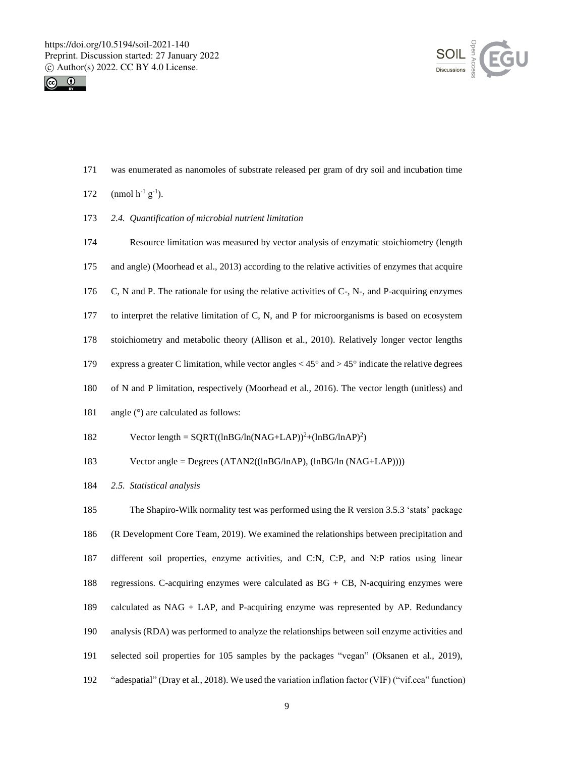



was enumerated as nanomoles of substrate released per gram of dry soil and incubation time

|  | (nmol $h^{-1}$ $g^{-1}$ ) |  |
|--|---------------------------|--|
|--|---------------------------|--|

*2.4. Quantification of microbial nutrient limitation*

 Resource limitation was measured by vector analysis of enzymatic stoichiometry (length and angle) (Moorhead et al., 2013) according to the relative activities of enzymes that acquire C, N and P. The rationale for using the relative activities of C-, N-, and P-acquiring enzymes to interpret the relative limitation of C, N, and P for microorganisms is based on ecosystem stoichiometry and metabolic theory (Allison et al., 2010). Relatively longer vector lengths express a greater C limitation, while vector angles < 45° and > 45° indicate the relative degrees of N and P limitation, respectively (Moorhead et al., 2016). The vector length (unitless) and 181 angle ( $\degree$ ) are calculated as follows:

- 182 Vector length =  $SQRT((lnBG/ln(NAG+LAP))^2+(lnBG/lnAP)^2)$
- Vector angle = Degrees (ATAN2((lnBG/lnAP), (lnBG/ln (NAG+LAP))))
- *2.5. Statistical analysis*

 The Shapiro-Wilk normality test was performed using the R version 3.5.3 'stats' package (R Development Core Team, 2019). We examined the relationships between precipitation and different soil properties, enzyme activities, and C:N, C:P, and N:P ratios using linear regressions. C-acquiring enzymes were calculated as BG + CB, N-acquiring enzymes were calculated as NAG + LAP, and P-acquiring enzyme was represented by AP. Redundancy analysis (RDA) was performed to analyze the relationships between soil enzyme activities and selected soil properties for 105 samples by the packages "vegan" (Oksanen et al., 2019), "adespatial" (Dray et al., 2018). We used the variation inflation factor (VIF) ("vif.cca" function)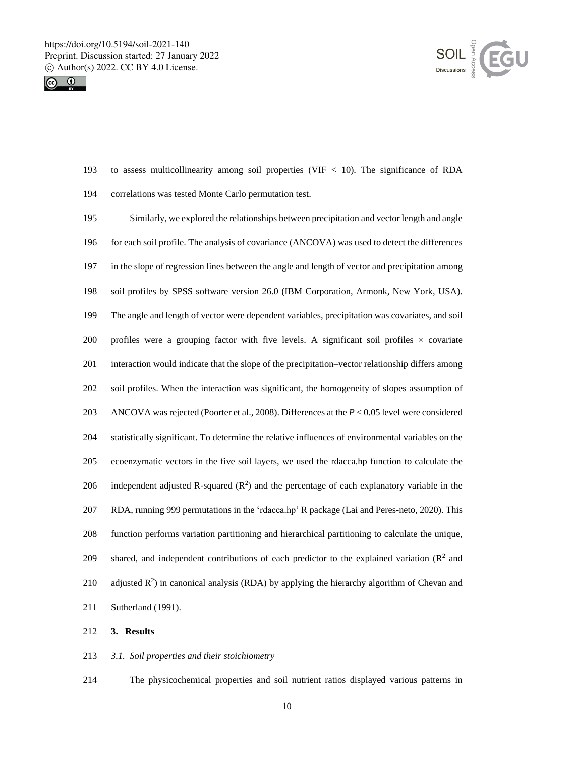



- to assess multicollinearity among soil properties (VIF < 10). The significance of RDA correlations was tested Monte Carlo permutation test.
- Similarly, we explored the relationships between precipitation and vector length and angle for each soil profile. The analysis of covariance (ANCOVA) was used to detect the differences in the slope of regression lines between the angle and length of vector and precipitation among soil profiles by SPSS software version 26.0 (IBM Corporation, Armonk, New York, USA). The angle and length of vector were dependent variables, precipitation was covariates, and soil 200 profiles were a grouping factor with five levels. A significant soil profiles  $\times$  covariate interaction would indicate that the slope of the precipitation–vector relationship differs among soil profiles. When the interaction was significant, the homogeneity of slopes assumption of ANCOVA was rejected (Poorter et al., 2008). Differences at the *P* < 0.05 level were considered statistically significant. To determine the relative influences of environmental variables on the ecoenzymatic vectors in the five soil layers, we used the rdacca.hp function to calculate the 206 independent adjusted R-squared  $(R^2)$  and the percentage of each explanatory variable in the RDA, running 999 permutations in the 'rdacca.hp' R package (Lai and Peres-neto, 2020). This function performs variation partitioning and hierarchical partitioning to calculate the unique, 209 shared, and independent contributions of each predictor to the explained variation  $(R^2 \text{ and } R^3)$ 210 adjusted  $R^2$ ) in canonical analysis (RDA) by applying the hierarchy algorithm of Chevan and Sutherland (1991).
- **3. Results**
- *3.1. Soil properties and their stoichiometry*

The physicochemical properties and soil nutrient ratios displayed various patterns in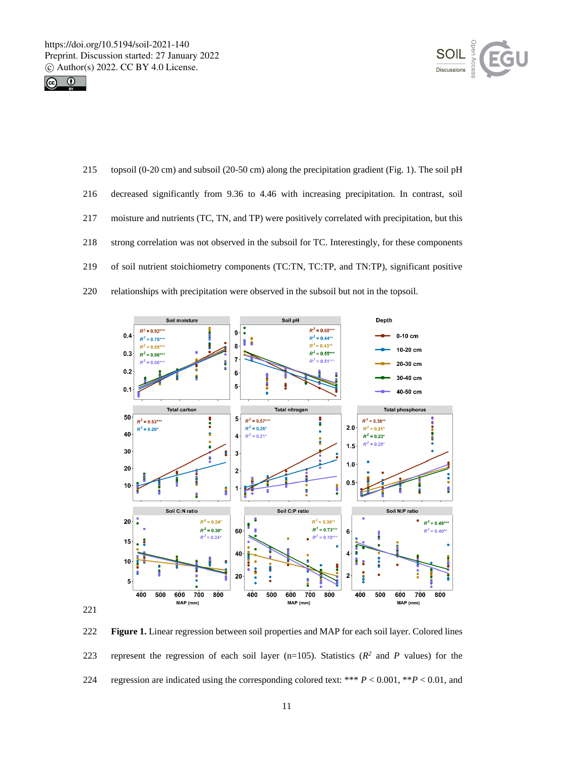



 topsoil (0-20 cm) and subsoil (20-50 cm) along the precipitation gradient (Fig. 1). The soil pH decreased significantly from 9.36 to 4.46 with increasing precipitation. In contrast, soil moisture and nutrients (TC, TN, and TP) were positively correlated with precipitation, but this strong correlation was not observed in the subsoil for TC. Interestingly, for these components of soil nutrient stoichiometry components (TC:TN, TC:TP, and TN:TP), significant positive relationships with precipitation were observed in the subsoil but not in the topsoil.



 **Figure 1.** Linear regression between soil properties and MAP for each soil layer. Colored lines 223 represent the regression of each soil layer  $(n=105)$ . Statistics  $(R^2 \text{ and } P \text{ values})$  for the regression are indicated using the corresponding colored text: \*\*\* *P* < 0.001, \*\**P* < 0.01, and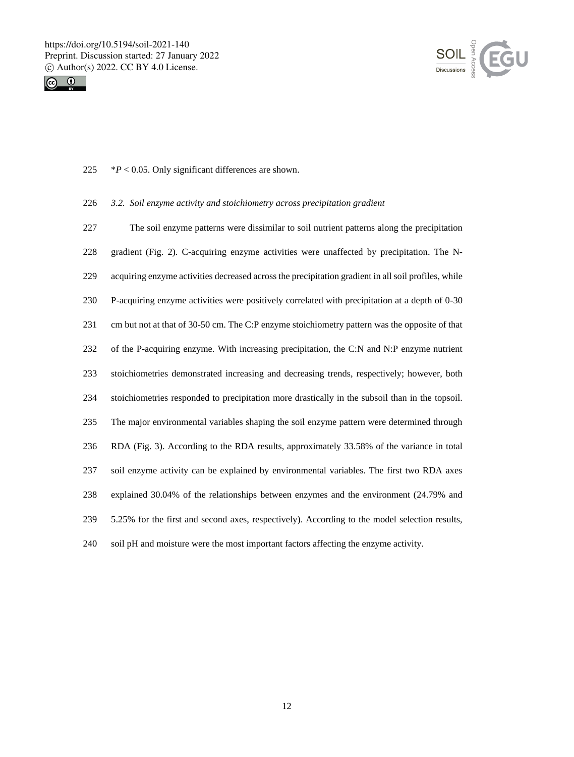



225  $*P < 0.05$ . Only significant differences are shown.

# *3.2. Soil enzyme activity and stoichiometry across precipitation gradient*

 The soil enzyme patterns were dissimilar to soil nutrient patterns along the precipitation gradient (Fig. 2). C-acquiring enzyme activities were unaffected by precipitation. The N- acquiring enzyme activities decreased across the precipitation gradient in all soil profiles, while P-acquiring enzyme activities were positively correlated with precipitation at a depth of 0-30 cm but not at that of 30-50 cm. The C:P enzyme stoichiometry pattern was the opposite of that of the P-acquiring enzyme. With increasing precipitation, the C:N and N:P enzyme nutrient stoichiometries demonstrated increasing and decreasing trends, respectively; however, both stoichiometries responded to precipitation more drastically in the subsoil than in the topsoil. The major environmental variables shaping the soil enzyme pattern were determined through RDA (Fig. 3). According to the RDA results, approximately 33.58% of the variance in total soil enzyme activity can be explained by environmental variables. The first two RDA axes explained 30.04% of the relationships between enzymes and the environment (24.79% and 5.25% for the first and second axes, respectively). According to the model selection results, soil pH and moisture were the most important factors affecting the enzyme activity.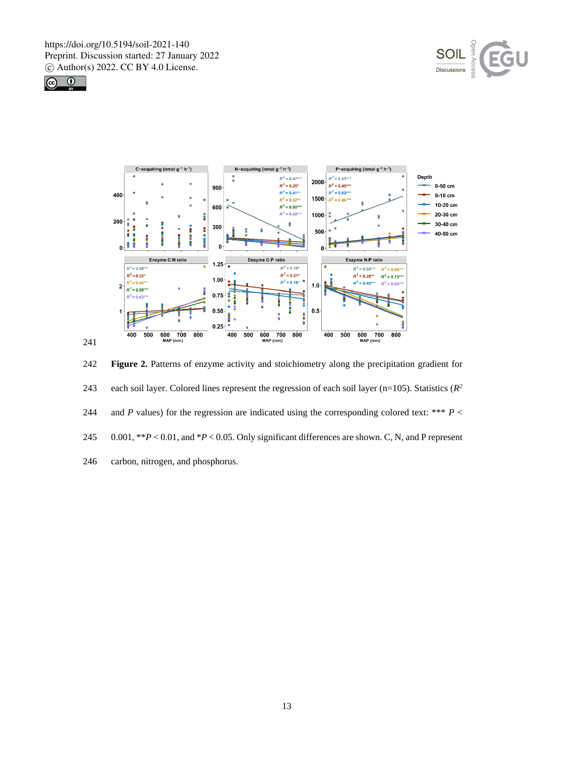





242 **Figure 2.** Patterns of enzyme activity and stoichiometry along the precipitation gradient for 243 each soil layer. Colored lines represent the regression of each soil layer ( $n=105$ ). Statistics ( $R^2$ 244 and *P* values) for the regression are indicated using the corresponding colored text: \*\*\*  $P$  < 245 0.001, \*\**P* < 0.01, and \**P* < 0.05. Only significant differences are shown. C, N, and P represent 246 carbon, nitrogen, and phosphorus.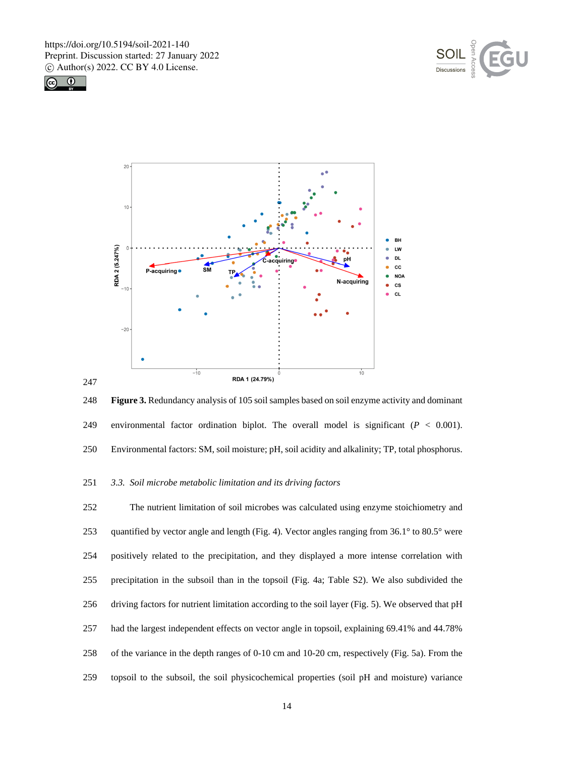





 **Figure 3.** Redundancy analysis of 105 soil samples based on soil enzyme activity and dominant environmental factor ordination biplot. The overall model is significant (*P* < 0.001). Environmental factors: SM, soil moisture; pH, soil acidity and alkalinity; TP, total phosphorus.

## *3.3. Soil microbe metabolic limitation and its driving factors*

 The nutrient limitation of soil microbes was calculated using enzyme stoichiometry and 253 quantified by vector angle and length (Fig. 4). Vector angles ranging from 36.1° to 80.5° were positively related to the precipitation, and they displayed a more intense correlation with precipitation in the subsoil than in the topsoil (Fig. 4a; Table S2). We also subdivided the driving factors for nutrient limitation according to the soil layer (Fig. 5). We observed that pH had the largest independent effects on vector angle in topsoil, explaining 69.41% and 44.78% of the variance in the depth ranges of 0-10 cm and 10-20 cm, respectively (Fig. 5a). From the topsoil to the subsoil, the soil physicochemical properties (soil pH and moisture) variance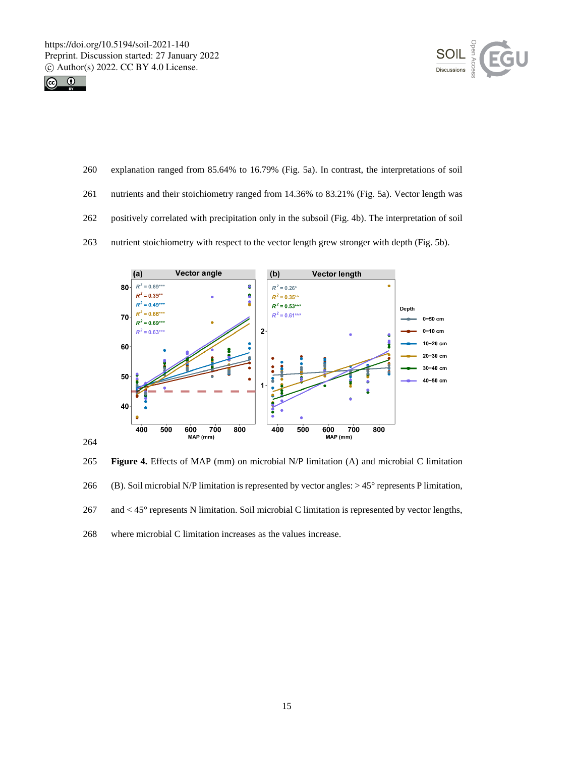



- explanation ranged from 85.64% to 16.79% (Fig. 5a). In contrast, the interpretations of soil
- nutrients and their stoichiometry ranged from 14.36% to 83.21% (Fig. 5a). Vector length was
- positively correlated with precipitation only in the subsoil (Fig. 4b). The interpretation of soil
- nutrient stoichiometry with respect to the vector length grew stronger with depth (Fig. 5b).



 **Figure 4.** Effects of MAP (mm) on microbial N/P limitation (A) and microbial C limitation (B). Soil microbial N/P limitation is represented by vector angles: > 45° represents P limitation, and < 45° represents N limitation. Soil microbial C limitation is represented by vector lengths, where microbial C limitation increases as the values increase.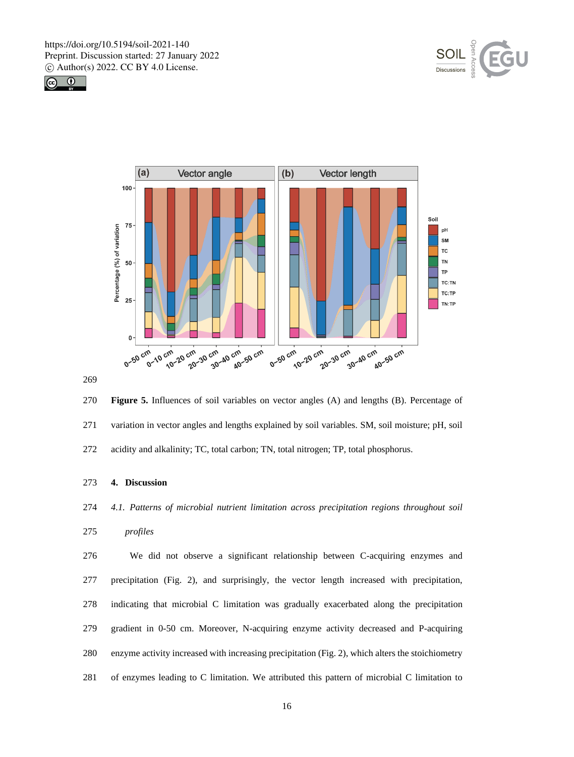





 **Figure 5.** Influences of soil variables on vector angles (A) and lengths (B). Percentage of variation in vector angles and lengths explained by soil variables. SM, soil moisture; pH, soil acidity and alkalinity; TC, total carbon; TN, total nitrogen; TP, total phosphorus.

# **4. Discussion**

*4.1. Patterns of microbial nutrient limitation across precipitation regions throughout soil* 

```
275 profiles
```
 We did not observe a significant relationship between C-acquiring enzymes and precipitation (Fig. 2), and surprisingly, the vector length increased with precipitation, indicating that microbial C limitation was gradually exacerbated along the precipitation gradient in 0-50 cm. Moreover, N-acquiring enzyme activity decreased and P-acquiring enzyme activity increased with increasing precipitation (Fig. 2), which alters the stoichiometry of enzymes leading to C limitation. We attributed this pattern of microbial C limitation to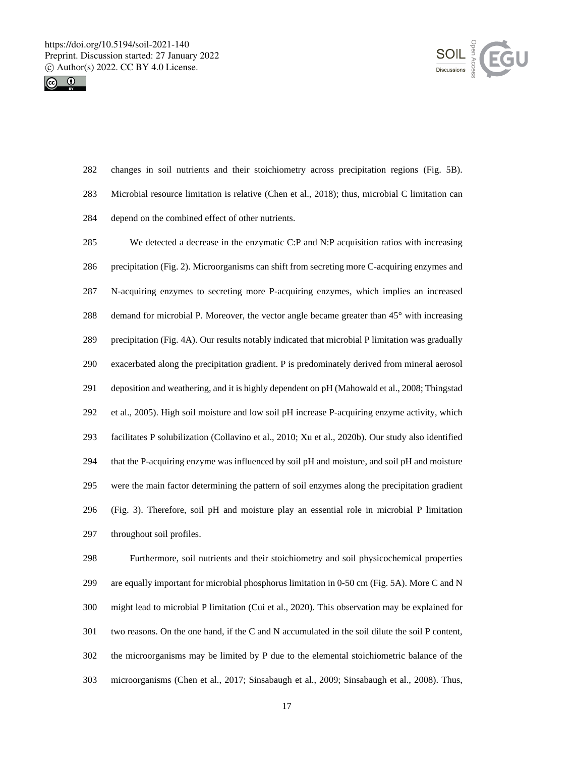



 changes in soil nutrients and their stoichiometry across precipitation regions (Fig. 5B). Microbial resource limitation is relative (Chen et al., 2018); thus, microbial C limitation can depend on the combined effect of other nutrients.

 We detected a decrease in the enzymatic C:P and N:P acquisition ratios with increasing precipitation (Fig. 2). Microorganisms can shift from secreting more C-acquiring enzymes and N-acquiring enzymes to secreting more P-acquiring enzymes, which implies an increased 288 demand for microbial P. Moreover, the vector angle became greater than 45° with increasing precipitation (Fig. 4A). Our results notably indicated that microbial P limitation was gradually exacerbated along the precipitation gradient. P is predominately derived from mineral aerosol deposition and weathering, and it is highly dependent on pH (Mahowald et al., 2008; Thingstad et al., 2005). High soil moisture and low soil pH increase P-acquiring enzyme activity, which facilitates P solubilization (Collavino et al., 2010; Xu et al., 2020b). Our study also identified that the P-acquiring enzyme was influenced by soil pH and moisture, and soil pH and moisture were the main factor determining the pattern of soil enzymes along the precipitation gradient (Fig. 3). Therefore, soil pH and moisture play an essential role in microbial P limitation throughout soil profiles.

 Furthermore, soil nutrients and their stoichiometry and soil physicochemical properties are equally important for microbial phosphorus limitation in 0-50 cm (Fig. 5A). More C and N might lead to microbial P limitation (Cui et al., 2020). This observation may be explained for two reasons. On the one hand, if the C and N accumulated in the soil dilute the soil P content, the microorganisms may be limited by P due to the elemental stoichiometric balance of the microorganisms (Chen et al., 2017; Sinsabaugh et al., 2009; Sinsabaugh et al., 2008). Thus,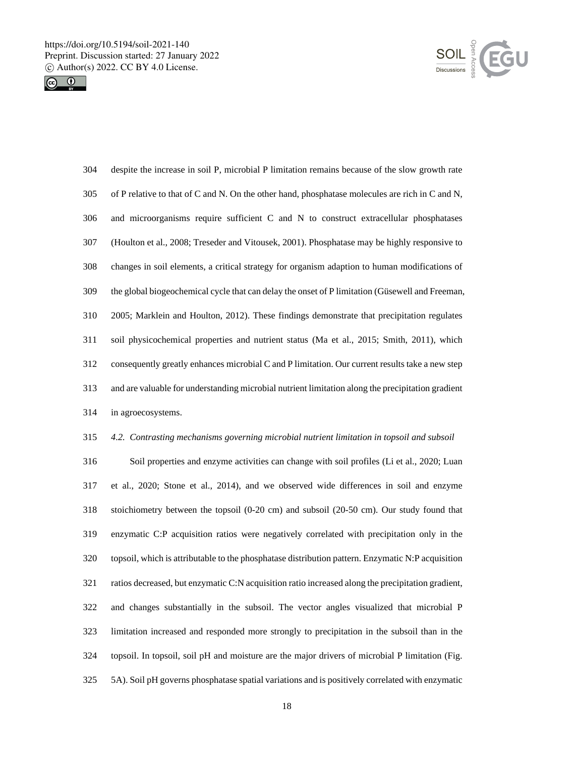



| 304 | despite the increase in soil P, microbial P limitation remains because of the slow growth rate    |
|-----|---------------------------------------------------------------------------------------------------|
| 305 | of P relative to that of C and N. On the other hand, phosphatase molecules are rich in C and N,   |
| 306 | and microorganisms require sufficient C and N to construct extracellular phosphatases             |
| 307 | (Houlton et al., 2008; Treseder and Vitousek, 2001). Phosphatase may be highly responsive to      |
| 308 | changes in soil elements, a critical strategy for organism adaption to human modifications of     |
| 309 | the global biogeochemical cycle that can delay the onset of P limitation (Güsewell and Freeman,   |
| 310 | 2005; Marklein and Houlton, 2012). These findings demonstrate that precipitation regulates        |
| 311 | soil physicochemical properties and nutrient status (Ma et al., 2015; Smith, 2011), which         |
| 312 | consequently greatly enhances microbial C and P limitation. Our current results take a new step   |
| 313 | and are valuable for understanding microbial nutrient limitation along the precipitation gradient |
| 314 | in agroecosystems.                                                                                |

# *4.2. Contrasting mechanisms governing microbial nutrient limitation in topsoil and subsoil*

 Soil properties and enzyme activities can change with soil profiles (Li et al., 2020; Luan et al., 2020; Stone et al., 2014), and we observed wide differences in soil and enzyme stoichiometry between the topsoil (0-20 cm) and subsoil (20-50 cm). Our study found that enzymatic C:P acquisition ratios were negatively correlated with precipitation only in the topsoil, which is attributable to the phosphatase distribution pattern. Enzymatic N:P acquisition ratios decreased, but enzymatic C:N acquisition ratio increased along the precipitation gradient, and changes substantially in the subsoil. The vector angles visualized that microbial P limitation increased and responded more strongly to precipitation in the subsoil than in the topsoil. In topsoil, soil pH and moisture are the major drivers of microbial P limitation (Fig. 5A). Soil pH governs phosphatase spatial variations and is positively correlated with enzymatic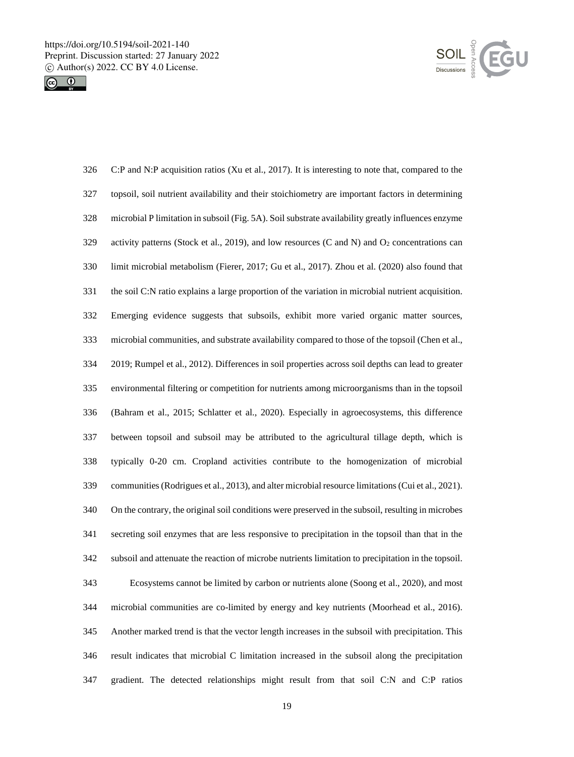



| 326 | C:P and N:P acquisition ratios (Xu et al., 2017). It is interesting to note that, compared to the         |
|-----|-----------------------------------------------------------------------------------------------------------|
| 327 | topsoil, soil nutrient availability and their stoichiometry are important factors in determining          |
| 328 | microbial P limitation in subsoil (Fig. 5A). Soil substrate availability greatly influences enzyme        |
| 329 | activity patterns (Stock et al., 2019), and low resources (C and N) and O <sub>2</sub> concentrations can |
| 330 | limit microbial metabolism (Fierer, 2017; Gu et al., 2017). Zhou et al. (2020) also found that            |
| 331 | the soil C:N ratio explains a large proportion of the variation in microbial nutrient acquisition.        |
| 332 | Emerging evidence suggests that subsoils, exhibit more varied organic matter sources,                     |
| 333 | microbial communities, and substrate availability compared to those of the topsoil (Chen et al.,          |
| 334 | 2019; Rumpel et al., 2012). Differences in soil properties across soil depths can lead to greater         |
| 335 | environmental filtering or competition for nutrients among microorganisms than in the topsoil             |
| 336 | (Bahram et al., 2015; Schlatter et al., 2020). Especially in agroecosystems, this difference              |
| 337 | between topsoil and subsoil may be attributed to the agricultural tillage depth, which is                 |
| 338 | typically 0-20 cm. Cropland activities contribute to the homogenization of microbial                      |
| 339 | communities (Rodrigues et al., 2013), and alter microbial resource limitations (Cui et al., 2021).        |
| 340 | On the contrary, the original soil conditions were preserved in the subsoil, resulting in microbes        |
| 341 | secreting soil enzymes that are less responsive to precipitation in the topsoil than that in the          |
| 342 | subsoil and attenuate the reaction of microbe nutrients limitation to precipitation in the topsoil.       |
| 343 | Ecosystems cannot be limited by carbon or nutrients alone (Soong et al., 2020), and most                  |
| 344 | microbial communities are co-limited by energy and key nutrients (Moorhead et al., 2016).                 |
| 345 | Another marked trend is that the vector length increases in the subsoil with precipitation. This          |
| 346 | result indicates that microbial C limitation increased in the subsoil along the precipitation             |
| 347 | gradient. The detected relationships might result from that soil C:N and C:P ratios                       |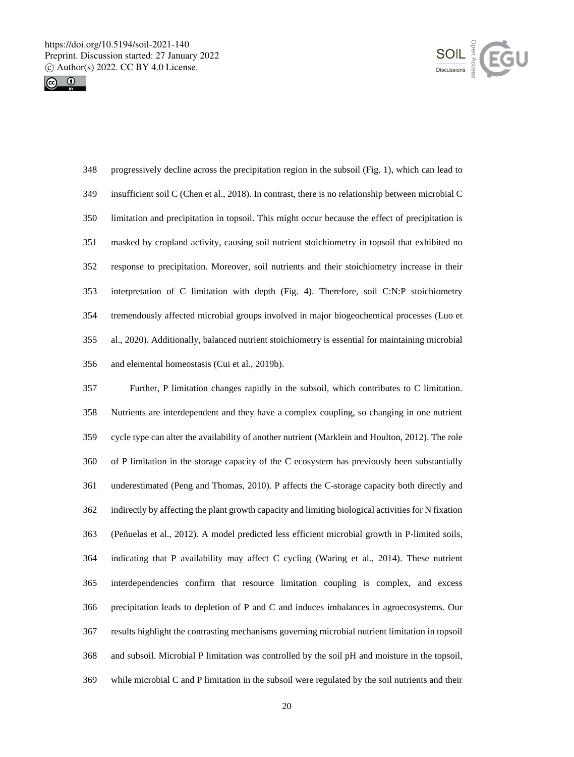



| 348 | progressively decline across the precipitation region in the subsoil (Fig. 1), which can lead to   |
|-----|----------------------------------------------------------------------------------------------------|
| 349 | insufficient soil C (Chen et al., 2018). In contrast, there is no relationship between microbial C |
| 350 | limitation and precipitation in topsoil. This might occur because the effect of precipitation is   |
| 351 | masked by cropland activity, causing soil nutrient stoichiometry in topsoil that exhibited no      |
| 352 | response to precipitation. Moreover, soil nutrients and their stoichiometry increase in their      |
| 353 | interpretation of C limitation with depth (Fig. 4). Therefore, soil C:N:P stoichiometry            |
| 354 | tremendously affected microbial groups involved in major biogeochemical processes (Luo et          |
| 355 | al., 2020). Additionally, balanced nutrient stoichiometry is essential for maintaining microbial   |
| 356 | and elemental homeostasis (Cui et al., 2019b).                                                     |

 Further, P limitation changes rapidly in the subsoil, which contributes to C limitation. Nutrients are interdependent and they have a complex coupling, so changing in one nutrient cycle type can alter the availability of another nutrient (Marklein and Houlton, 2012). The role of P limitation in the storage capacity of the C ecosystem has previously been substantially underestimated (Peng and Thomas, 2010). P affects the C-storage capacity both directly and indirectly by affecting the plant growth capacity and limiting biological activities for N fixation (Peñuelas et al., 2012). A model predicted less efficient microbial growth in P-limited soils, indicating that P availability may affect C cycling (Waring et al., 2014). These nutrient interdependencies confirm that resource limitation coupling is complex, and excess precipitation leads to depletion of P and C and induces imbalances in agroecosystems. Our results highlight the contrasting mechanisms governing microbial nutrient limitation in topsoil and subsoil. Microbial P limitation was controlled by the soil pH and moisture in the topsoil, while microbial C and P limitation in the subsoil were regulated by the soil nutrients and their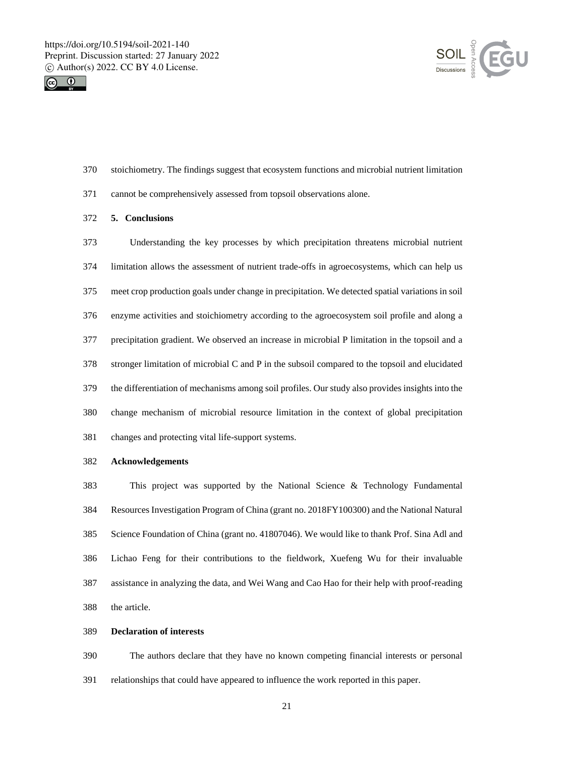



- stoichiometry. The findings suggest that ecosystem functions and microbial nutrient limitation
- cannot be comprehensively assessed from topsoil observations alone.
- **5. Conclusions**

 Understanding the key processes by which precipitation threatens microbial nutrient limitation allows the assessment of nutrient trade-offs in agroecosystems, which can help us meet crop production goals under change in precipitation. We detected spatial variations in soil enzyme activities and stoichiometry according to the agroecosystem soil profile and along a precipitation gradient. We observed an increase in microbial P limitation in the topsoil and a stronger limitation of microbial C and P in the subsoil compared to the topsoil and elucidated the differentiation of mechanisms among soil profiles. Our study also provides insights into the change mechanism of microbial resource limitation in the context of global precipitation changes and protecting vital life-support systems.

**Acknowledgements**

 This project was supported by the National Science & Technology Fundamental Resources Investigation Program of China (grant no. 2018FY100300) and the National Natural Science Foundation of China (grant no. 41807046). We would like to thank Prof. Sina Adl and Lichao Feng for their contributions to the fieldwork, Xuefeng Wu for their invaluable assistance in analyzing the data, and Wei Wang and Cao Hao for their help with proof-reading the article.

#### **Declaration of interests**

 The authors declare that they have no known competing financial interests or personal relationships that could have appeared to influence the work reported in this paper.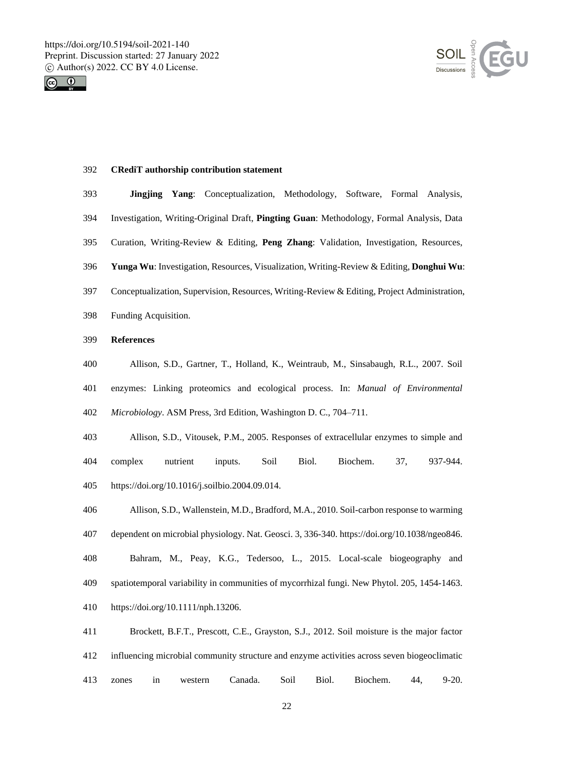



# **CRediT authorship contribution statement**

- **Jingjing Yang**: Conceptualization, Methodology, Software, Formal Analysis, Investigation, Writing-Original Draft, **Pingting Guan**: Methodology, Formal Analysis, Data Curation, Writing-Review & Editing, **Peng Zhang**: Validation, Investigation, Resources, **Yunga Wu**: Investigation, Resources, Visualization, Writing-Review & Editing, **Donghui Wu**: Conceptualization, Supervision, Resources, Writing-Review & Editing, Project Administration, Funding Acquisition. **References** Allison, S.D., Gartner, T., Holland, K., Weintraub, M., Sinsabaugh, R.L., 2007. Soil enzymes: Linking proteomics and ecological process. In: *Manual of Environmental Microbiology*. ASM Press, 3rd Edition, Washington D. C., 704–711.
- Allison, S.D., Vitousek, P.M., 2005. Responses of extracellular enzymes to simple and complex nutrient inputs. Soil Biol. Biochem. 37, 937-944. https://doi.org/10.1016/j.soilbio.2004.09.014.
- Allison, S.D., Wallenstein, M.D., Bradford, M.A., 2010. Soil-carbon response to warming dependent on microbial physiology. Nat. Geosci. 3, 336-340. https://doi.org/10.1038/ngeo846. Bahram, M., Peay, K.G., Tedersoo, L., 2015. Local-scale biogeography and spatiotemporal variability in communities of mycorrhizal fungi. New Phytol. 205, 1454-1463. https://doi.org/10.1111/nph.13206.
- Brockett, B.F.T., Prescott, C.E., Grayston, S.J., 2012. Soil moisture is the major factor influencing microbial community structure and enzyme activities across seven biogeoclimatic zones in western Canada. Soil Biol. Biochem. 44, 9-20.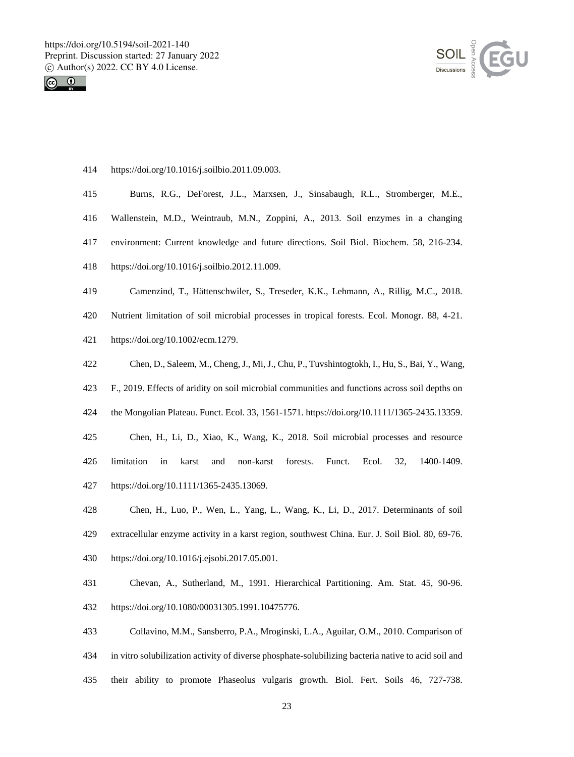



https://doi.org/10.1016/j.soilbio.2011.09.003.

| 415 | Burns, R.G., DeForest, J.L., Marxsen, J., Sinsabaugh, R.L., Stromberger, M.E.,                        |
|-----|-------------------------------------------------------------------------------------------------------|
| 416 | Wallenstein, M.D., Weintraub, M.N., Zoppini, A., 2013. Soil enzymes in a changing                     |
| 417 | environment: Current knowledge and future directions. Soil Biol. Biochem. 58, 216-234.                |
| 418 | https://doi.org/10.1016/j.soilbio.2012.11.009.                                                        |
| 419 | Camenzind, T., Hättenschwiler, S., Treseder, K.K., Lehmann, A., Rillig, M.C., 2018.                   |
| 420 | Nutrient limitation of soil microbial processes in tropical forests. Ecol. Monogr. 88, 4-21.          |
| 421 | https://doi.org/10.1002/ecm.1279.                                                                     |
| 422 | Chen, D., Saleem, M., Cheng, J., Mi, J., Chu, P., Tuvshintogtokh, I., Hu, S., Bai, Y., Wang,          |
| 423 | F., 2019. Effects of aridity on soil microbial communities and functions across soil depths on        |
| 424 | the Mongolian Plateau. Funct. Ecol. 33, 1561-1571. https://doi.org/10.1111/1365-2435.13359.           |
| 425 | Chen, H., Li, D., Xiao, K., Wang, K., 2018. Soil microbial processes and resource                     |
| 426 | limitation<br>32,<br>1400-1409.<br>karst<br>non-karst<br>forests.<br>Funct.<br>Ecol.<br>$\sin$<br>and |
| 427 | https://doi.org/10.1111/1365-2435.13069.                                                              |
| 428 | Chen, H., Luo, P., Wen, L., Yang, L., Wang, K., Li, D., 2017. Determinants of soil                    |
| 429 | extracellular enzyme activity in a karst region, southwest China. Eur. J. Soil Biol. 80, 69-76.       |

- https://doi.org/10.1016/j.ejsobi.2017.05.001.
- Chevan, A., Sutherland, M., 1991. Hierarchical Partitioning. Am. Stat. 45, 90-96. https://doi.org/10.1080/00031305.1991.10475776.
- Collavino, M.M., Sansberro, P.A., Mroginski, L.A., Aguilar, O.M., 2010. Comparison of in vitro solubilization activity of diverse phosphate-solubilizing bacteria native to acid soil and their ability to promote Phaseolus vulgaris growth. Biol. Fert. Soils 46, 727-738.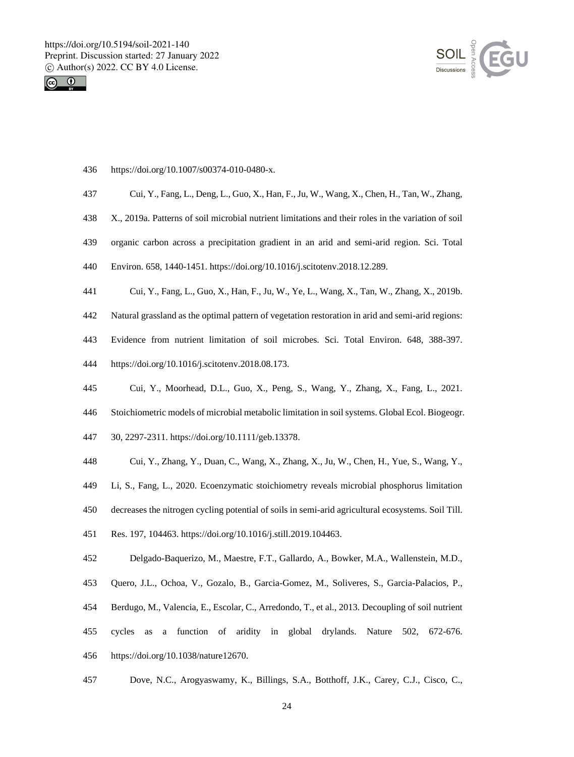



- https://doi.org/10.1007/s00374-010-0480-x.
- Cui, Y., Fang, L., Deng, L., Guo, X., Han, F., Ju, W., Wang, X., Chen, H., Tan, W., Zhang,
- X., 2019a. Patterns of soil microbial nutrient limitations and their roles in the variation of soil
- organic carbon across a precipitation gradient in an arid and semi-arid region. Sci. Total
- Environ. 658, 1440-1451. https://doi.org/10.1016/j.scitotenv.2018.12.289.
- Cui, Y., Fang, L., Guo, X., Han, F., Ju, W., Ye, L., Wang, X., Tan, W., Zhang, X., 2019b.
- Natural grassland as the optimal pattern of vegetation restoration in arid and semi-arid regions:
- Evidence from nutrient limitation of soil microbes. Sci. Total Environ. 648, 388-397.
- https://doi.org/10.1016/j.scitotenv.2018.08.173.
- Cui, Y., Moorhead, D.L., Guo, X., Peng, S., Wang, Y., Zhang, X., Fang, L., 2021.
- Stoichiometric models of microbial metabolic limitation in soil systems. Global Ecol. Biogeogr.
- 30, 2297-2311. https://doi.org/10.1111/geb.13378.
- Cui, Y., Zhang, Y., Duan, C., Wang, X., Zhang, X., Ju, W., Chen, H., Yue, S., Wang, Y.,
- Li, S., Fang, L., 2020. Ecoenzymatic stoichiometry reveals microbial phosphorus limitation
- decreases the nitrogen cycling potential of soils in semi-arid agricultural ecosystems. Soil Till.
- Res. 197, 104463. https://doi.org/10.1016/j.still.2019.104463.
- Delgado-Baquerizo, M., Maestre, F.T., Gallardo, A., Bowker, M.A., Wallenstein, M.D.,
- Quero, J.L., Ochoa, V., Gozalo, B., Garcia-Gomez, M., Soliveres, S., Garcia-Palacios, P.,
- Berdugo, M., Valencia, E., Escolar, C., Arredondo, T., et al., 2013. Decoupling of soil nutrient
- cycles as a function of aridity in global drylands. Nature 502, 672-676.
- https://doi.org/10.1038/nature12670.
- Dove, N.C., Arogyaswamy, K., Billings, S.A., Botthoff, J.K., Carey, C.J., Cisco, C.,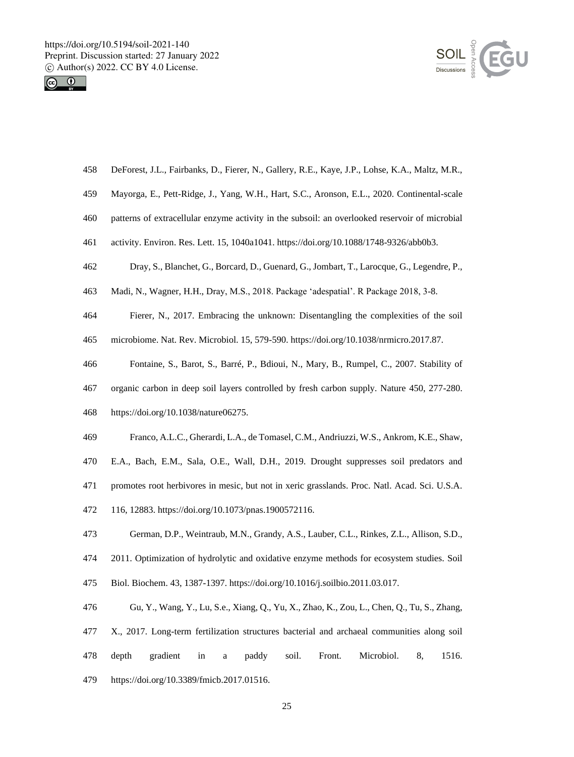



|  | 458 DeForest, J.L., Fairbanks, D., Fierer, N., Gallery, R.E., Kaye, J.P., Lohse, K.A., Maltz, M.R., |  |  |  |  |  |  |  |  |  |  |  |
|--|-----------------------------------------------------------------------------------------------------|--|--|--|--|--|--|--|--|--|--|--|
|--|-----------------------------------------------------------------------------------------------------|--|--|--|--|--|--|--|--|--|--|--|

- Mayorga, E., Pett-Ridge, J., Yang, W.H., Hart, S.C., Aronson, E.L., 2020. Continental-scale
- patterns of extracellular enzyme activity in the subsoil: an overlooked reservoir of microbial
- activity. Environ. Res. Lett. 15, 1040a1041. https://doi.org/10.1088/1748-9326/abb0b3.
- Dray, S., Blanchet, G., Borcard, D., Guenard, G., Jombart, T., Larocque, G., Legendre, P.,
- Madi, N., Wagner, H.H., Dray, M.S., 2018. Package 'adespatial'. R Package 2018, 3-8.
- Fierer, N., 2017. Embracing the unknown: Disentangling the complexities of the soil
- microbiome. Nat. Rev. Microbiol. 15, 579-590. https://doi.org/10.1038/nrmicro.2017.87.
- Fontaine, S., Barot, S., Barré, P., Bdioui, N., Mary, B., Rumpel, C., 2007. Stability of
- organic carbon in deep soil layers controlled by fresh carbon supply. Nature 450, 277-280.
- https://doi.org/10.1038/nature06275.
- Franco, A.L.C., Gherardi, L.A., de Tomasel, C.M., Andriuzzi, W.S., Ankrom, K.E., Shaw,
- E.A., Bach, E.M., Sala, O.E., Wall, D.H., 2019. Drought suppresses soil predators and
- promotes root herbivores in mesic, but not in xeric grasslands. Proc. Natl. Acad. Sci. U.S.A.
- 116, 12883. https://doi.org/10.1073/pnas.1900572116.
- German, D.P., Weintraub, M.N., Grandy, A.S., Lauber, C.L., Rinkes, Z.L., Allison, S.D.,
- 2011. Optimization of hydrolytic and oxidative enzyme methods for ecosystem studies. Soil
- Biol. Biochem. 43, 1387-1397. https://doi.org/10.1016/j.soilbio.2011.03.017.
- Gu, Y., Wang, Y., Lu, S.e., Xiang, Q., Yu, X., Zhao, K., Zou, L., Chen, Q., Tu, S., Zhang, X., 2017. Long-term fertilization structures bacterial and archaeal communities along soil depth gradient in a paddy soil. Front. Microbiol. 8, 1516. https://doi.org/10.3389/fmicb.2017.01516.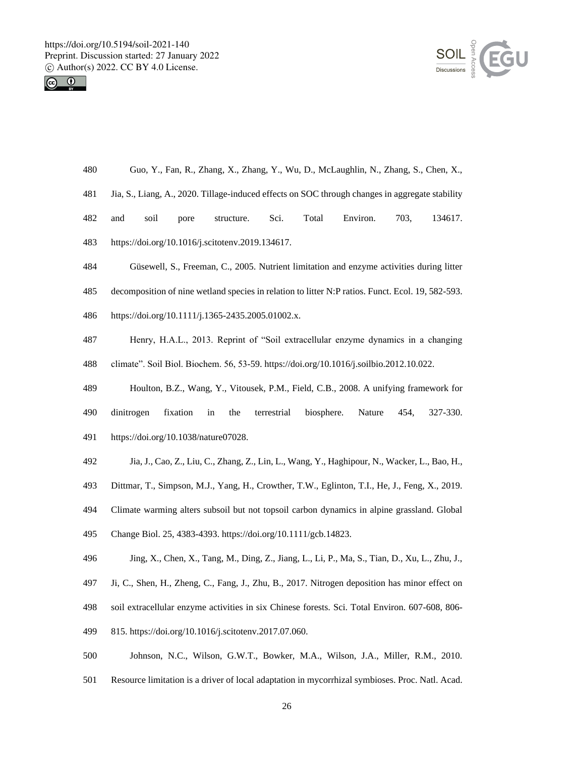



- Guo, Y., Fan, R., Zhang, X., Zhang, Y., Wu, D., McLaughlin, N., Zhang, S., Chen, X.,
- Jia, S., Liang, A., 2020. Tillage-induced effects on SOC through changes in aggregate stability
- and soil pore structure. Sci. Total Environ. 703, 134617.
- https://doi.org/10.1016/j.scitotenv.2019.134617.
- Güsewell, S., Freeman, C., 2005. Nutrient limitation and enzyme activities during litter
- decomposition of nine wetland species in relation to litter N:P ratios. Funct. Ecol. 19, 582-593.
- https://doi.org/10.1111/j.1365-2435.2005.01002.x.
- Henry, H.A.L., 2013. Reprint of "Soil extracellular enzyme dynamics in a changing climate". Soil Biol. Biochem. 56, 53-59. https://doi.org/10.1016/j.soilbio.2012.10.022.
- Houlton, B.Z., Wang, Y., Vitousek, P.M., Field, C.B., 2008. A unifying framework for dinitrogen fixation in the terrestrial biosphere. Nature 454, 327-330. https://doi.org/10.1038/nature07028.
- Jia, J., Cao, Z., Liu, C., Zhang, Z., Lin, L., Wang, Y., Haghipour, N., Wacker, L., Bao, H.,
- Dittmar, T., Simpson, M.J., Yang, H., Crowther, T.W., Eglinton, T.I., He, J., Feng, X., 2019.
- Climate warming alters subsoil but not topsoil carbon dynamics in alpine grassland. Global
- Change Biol. 25, 4383-4393. https://doi.org/10.1111/gcb.14823.
- Jing, X., Chen, X., Tang, M., Ding, Z., Jiang, L., Li, P., Ma, S., Tian, D., Xu, L., Zhu, J.,
- Ji, C., Shen, H., Zheng, C., Fang, J., Zhu, B., 2017. Nitrogen deposition has minor effect on
- soil extracellular enzyme activities in six Chinese forests. Sci. Total Environ. 607-608, 806-
- 815. https://doi.org/10.1016/j.scitotenv.2017.07.060.
- Johnson, N.C., Wilson, G.W.T., Bowker, M.A., Wilson, J.A., Miller, R.M., 2010.
- Resource limitation is a driver of local adaptation in mycorrhizal symbioses. Proc. Natl. Acad.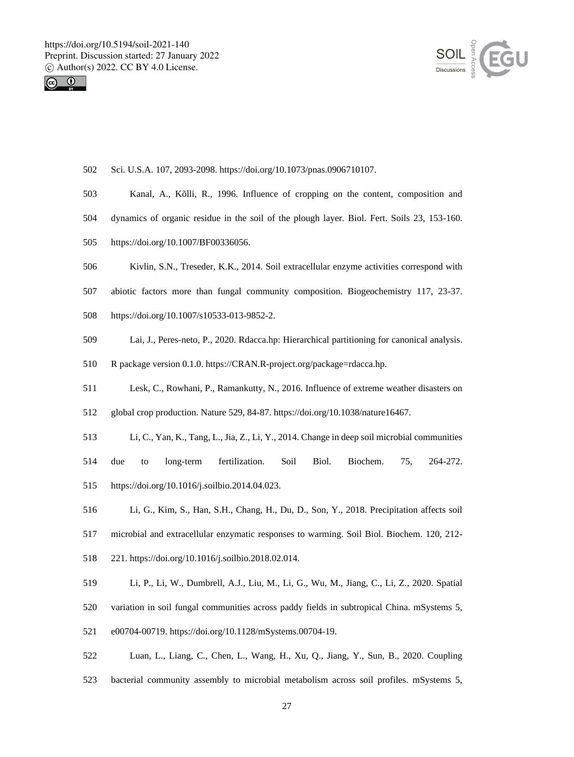



| 502 | Sci. U.S.A. 107, 2093-2098. https://doi.org/10.1073/pnas.0906710107.                        |
|-----|---------------------------------------------------------------------------------------------|
| 503 | Kanal, A., Kõlli, R., 1996. Influence of cropping on the content, composition and           |
| 504 | dynamics of organic residue in the soil of the plough layer. Biol. Fert. Soils 23, 153-160. |
| 505 | https://doi.org/10.1007/BF00336056.                                                         |
| 506 | Kivlin, S.N., Treseder, K.K., 2014. Soil extracellular enzyme activities correspond with    |
| 507 | abiotic factors more than fungal community composition. Biogeochemistry 117, 23-37.         |
| 508 | https://doi.org/10.1007/s10533-013-9852-2.                                                  |
| 509 | Lai, J., Peres-neto, P., 2020. Rdacca.hp: Hierarchical partitioning for canonical analysis. |
| 510 | R package version 0.1.0. https://CRAN.R-project.org/package=rdacca.hp.                      |
| 511 | Lesk, C., Rowhani, P., Ramankutty, N., 2016. Influence of extreme weather disasters on      |
| 512 | global crop production. Nature 529, 84-87. https://doi.org/10.1038/nature16467.             |
| 513 | Li, C., Yan, K., Tang, L., Jia, Z., Li, Y., 2014. Change in deep soil microbial communities |
| 514 | Biol.<br>Biochem.<br>fertilization.<br>Soil<br>75,<br>264-272.<br>due<br>long-term<br>to    |
| 515 | https://doi.org/10.1016/j.soilbio.2014.04.023.                                              |
| 516 | Li, G., Kim, S., Han, S.H., Chang, H., Du, D., Son, Y., 2018. Precipitation affects soil    |
| 517 | microbial and extracellular enzymatic responses to warming. Soil Biol. Biochem. 120, 212-   |
| 518 | 221. https://doi.org/10.1016/j.soilbio.2018.02.014.                                         |
| 519 | Li, P., Li, W., Dumbrell, A.J., Liu, M., Li, G., Wu, M., Jiang, C., Li, Z., 2020. Spatial   |
| 520 | variation in soil fungal communities across paddy fields in subtropical China. mSystems 5,  |
| 521 | e00704-00719. https://doi.org/10.1128/mSystems.00704-19.                                    |
| 522 | Luan, L., Liang, C., Chen, L., Wang, H., Xu, Q., Jiang, Y., Sun, B., 2020. Coupling         |

bacterial community assembly to microbial metabolism across soil profiles. mSystems 5,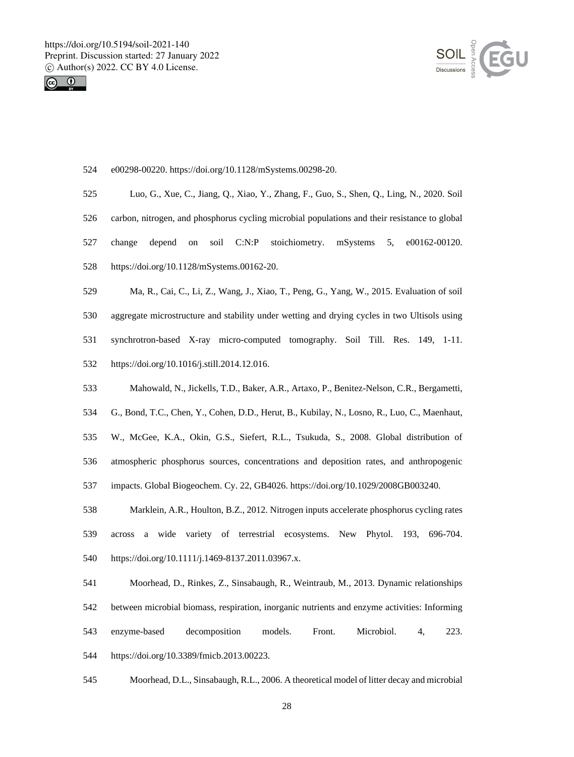



| 524 | e00298-00220. https://doi.org/10.1128/mSystems.00298-20.                                              |
|-----|-------------------------------------------------------------------------------------------------------|
| 525 | Luo, G., Xue, C., Jiang, Q., Xiao, Y., Zhang, F., Guo, S., Shen, Q., Ling, N., 2020. Soil             |
| 526 | carbon, nitrogen, and phosphorus cycling microbial populations and their resistance to global         |
| 527 | soil<br>C:N:P<br>stoichiometry.<br>mSystems<br>e00162-00120.<br>change<br>depend<br>on<br>5,          |
| 528 | https://doi.org/10.1128/mSystems.00162-20.                                                            |
| 529 | Ma, R., Cai, C., Li, Z., Wang, J., Xiao, T., Peng, G., Yang, W., 2015. Evaluation of soil             |
| 530 | aggregate microstructure and stability under wetting and drying cycles in two Ultisols using          |
| 531 | synchrotron-based X-ray micro-computed tomography. Soil Till. Res. 149,<br>$1-11.$                    |
| 532 | https://doi.org/10.1016/j.still.2014.12.016.                                                          |
| 533 | Mahowald, N., Jickells, T.D., Baker, A.R., Artaxo, P., Benitez-Nelson, C.R., Bergametti,              |
| 534 | G., Bond, T.C., Chen, Y., Cohen, D.D., Herut, B., Kubilay, N., Losno, R., Luo, C., Maenhaut,          |
| 535 | W., McGee, K.A., Okin, G.S., Siefert, R.L., Tsukuda, S., 2008. Global distribution of                 |
| 536 | atmospheric phosphorus sources, concentrations and deposition rates, and anthropogenic                |
| 537 | impacts. Global Biogeochem. Cy. 22, GB4026. https://doi.org/10.1029/2008GB003240.                     |
| 538 | Marklein, A.R., Houlton, B.Z., 2012. Nitrogen inputs accelerate phosphorus cycling rates              |
| 539 | terrestrial ecosystems.<br>New<br>Phytol.<br>across<br>wide<br>variety<br>of<br>193.<br>696-704.<br>a |
| 540 | https://doi.org/10.1111/j.1469-8137.2011.03967.x.                                                     |
| 541 | Moorhead, D., Rinkes, Z., Sinsabaugh, R., Weintraub, M., 2013. Dynamic relationships                  |
| 542 | between microbial biomass, respiration, inorganic nutrients and enzyme activities: Informing          |
| 543 | models.<br>Microbiol.<br>enzyme-based<br>decomposition<br>Front.<br>223.<br>4.                        |
| 544 | https://doi.org/10.3389/fmicb.2013.00223.                                                             |

Moorhead, D.L., Sinsabaugh, R.L., 2006. A theoretical model of litter decay and microbial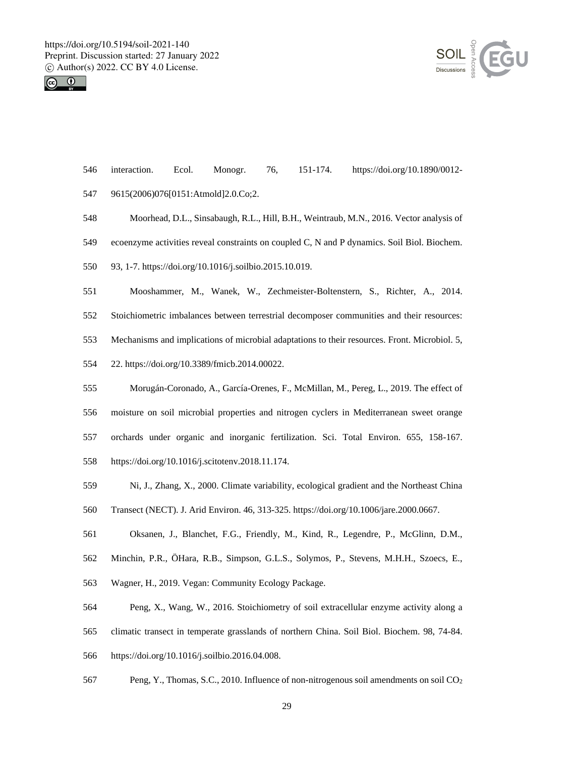



- interaction. Ecol. Monogr. 76, 151-174. https://doi.org/10.1890/0012-
- 9615(2006)076[0151:Atmold]2.0.Co;2.
- Moorhead, D.L., Sinsabaugh, R.L., Hill, B.H., Weintraub, M.N., 2016. Vector analysis of
- ecoenzyme activities reveal constraints on coupled C, N and P dynamics. Soil Biol. Biochem.
- 93, 1-7. https://doi.org/10.1016/j.soilbio.2015.10.019.
- Mooshammer, M., Wanek, W., Zechmeister-Boltenstern, S., Richter, A., 2014.
- Stoichiometric imbalances between terrestrial decomposer communities and their resources:
- Mechanisms and implications of microbial adaptations to their resources. Front. Microbiol. 5,
- 22. https://doi.org/10.3389/fmicb.2014.00022.
- Morugán-Coronado, A., García-Orenes, F., McMillan, M., Pereg, L., 2019. The effect of moisture on soil microbial properties and nitrogen cyclers in Mediterranean sweet orange orchards under organic and inorganic fertilization. Sci. Total Environ. 655, 158-167. https://doi.org/10.1016/j.scitotenv.2018.11.174.
- Ni, J., Zhang, X., 2000. Climate variability, ecological gradient and the Northeast China
- Transect (NECT). J. Arid Environ. 46, 313-325. https://doi.org/10.1006/jare.2000.0667.
- Oksanen, J., Blanchet, F.G., Friendly, M., Kind, R., Legendre, P., McGlinn, D.M.,
- Minchin, P.R., ÖHara, R.B., Simpson, G.L.S., Solymos, P., Stevens, M.H.H., Szoecs, E.,
- Wagner, H., 2019. Vegan: Community Ecology Package.
- Peng, X., Wang, W., 2016. Stoichiometry of soil extracellular enzyme activity along a
- climatic transect in temperate grasslands of northern China. Soil Biol. Biochem. 98, 74-84.
- https://doi.org/10.1016/j.soilbio.2016.04.008.
- Peng, Y., Thomas, S.C., 2010. Influence of non-nitrogenous soil amendments on soil CO<sup>2</sup>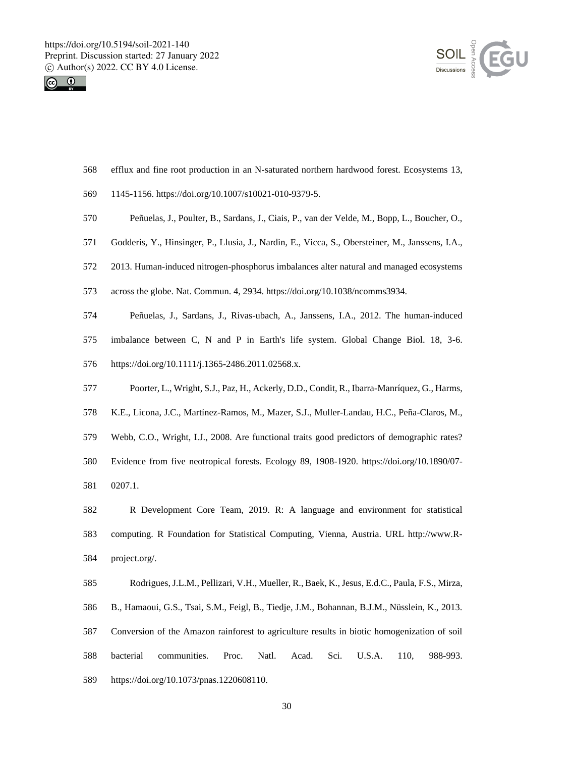



- efflux and fine root production in an N-saturated northern hardwood forest. Ecosystems 13,
- 1145-1156. https://doi.org/10.1007/s10021-010-9379-5.
- Peñuelas, J., Poulter, B., Sardans, J., Ciais, P., van der Velde, M., Bopp, L., Boucher, O.,
- Godderis, Y., Hinsinger, P., Llusia, J., Nardin, E., Vicca, S., Obersteiner, M., Janssens, I.A.,
- 2013. Human-induced nitrogen-phosphorus imbalances alter natural and managed ecosystems
- across the globe. Nat. Commun. 4, 2934. https://doi.org/10.1038/ncomms3934.
- Peñuelas, J., Sardans, J., Rivas-ubach, A., Janssens, I.A., 2012. The human-induced imbalance between C, N and P in Earth's life system. Global Change Biol. 18, 3-6. https://doi.org/10.1111/j.1365-2486.2011.02568.x.
- Poorter, L., Wright, S.J., Paz, H., Ackerly, D.D., Condit, R., Ibarra-Manríquez, G., Harms,
- K.E., Licona, J.C., Martínez-Ramos, M., Mazer, S.J., Muller-Landau, H.C., Peña-Claros, M.,
- Webb, C.O., Wright, I.J., 2008. Are functional traits good predictors of demographic rates?
- Evidence from five neotropical forests. Ecology 89, 1908-1920. https://doi.org/10.1890/07-
- 0207.1.
- R Development Core Team, 2019. R: A language and environment for statistical computing. R Foundation for Statistical Computing, Vienna, Austria. URL http://www.R-project.org/.
- Rodrigues, J.L.M., Pellizari, V.H., Mueller, R., Baek, K., Jesus, E.d.C., Paula, F.S., Mirza, B., Hamaoui, G.S., Tsai, S.M., Feigl, B., Tiedje, J.M., Bohannan, B.J.M., Nüsslein, K., 2013. Conversion of the Amazon rainforest to agriculture results in biotic homogenization of soil bacterial communities. Proc. Natl. Acad. Sci. U.S.A. 110, 988-993. https://doi.org/10.1073/pnas.1220608110.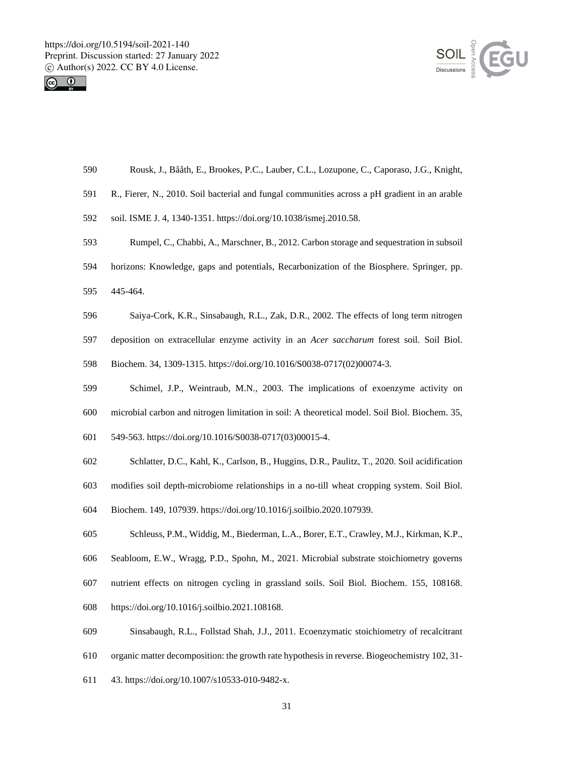



- Rousk, J., Bååth, E., Brookes, P.C., Lauber, C.L., Lozupone, C., Caporaso, J.G., Knight,
- R., Fierer, N., 2010. Soil bacterial and fungal communities across a pH gradient in an arable
- soil. ISME J. 4, 1340-1351. https://doi.org/10.1038/ismej.2010.58.
- Rumpel, C., Chabbi, A., Marschner, B., 2012. Carbon storage and sequestration in subsoil
- horizons: Knowledge, gaps and potentials, Recarbonization of the Biosphere. Springer, pp.
- 445-464.
- Saiya-Cork, K.R., Sinsabaugh, R.L., Zak, D.R., 2002. The effects of long term nitrogen
- deposition on extracellular enzyme activity in an *Acer saccharum* forest soil. Soil Biol.
- Biochem. 34, 1309-1315. https://doi.org/10.1016/S0038-0717(02)00074-3.
- Schimel, J.P., Weintraub, M.N., 2003. The implications of exoenzyme activity on
- microbial carbon and nitrogen limitation in soil: A theoretical model. Soil Biol. Biochem. 35,
- 549-563. https://doi.org/10.1016/S0038-0717(03)00015-4.
- Schlatter, D.C., Kahl, K., Carlson, B., Huggins, D.R., Paulitz, T., 2020. Soil acidification
- modifies soil depth-microbiome relationships in a no-till wheat cropping system. Soil Biol.
- Biochem. 149, 107939. https://doi.org/10.1016/j.soilbio.2020.107939.
- Schleuss, P.M., Widdig, M., Biederman, L.A., Borer, E.T., Crawley, M.J., Kirkman, K.P.,
- Seabloom, E.W., Wragg, P.D., Spohn, M., 2021. Microbial substrate stoichiometry governs
- nutrient effects on nitrogen cycling in grassland soils. Soil Biol. Biochem. 155, 108168.
- https://doi.org/10.1016/j.soilbio.2021.108168.
- Sinsabaugh, R.L., Follstad Shah, J.J., 2011. Ecoenzymatic stoichiometry of recalcitrant
- organic matter decomposition: the growth rate hypothesis in reverse. Biogeochemistry 102, 31-
- 43. https://doi.org/10.1007/s10533-010-9482-x.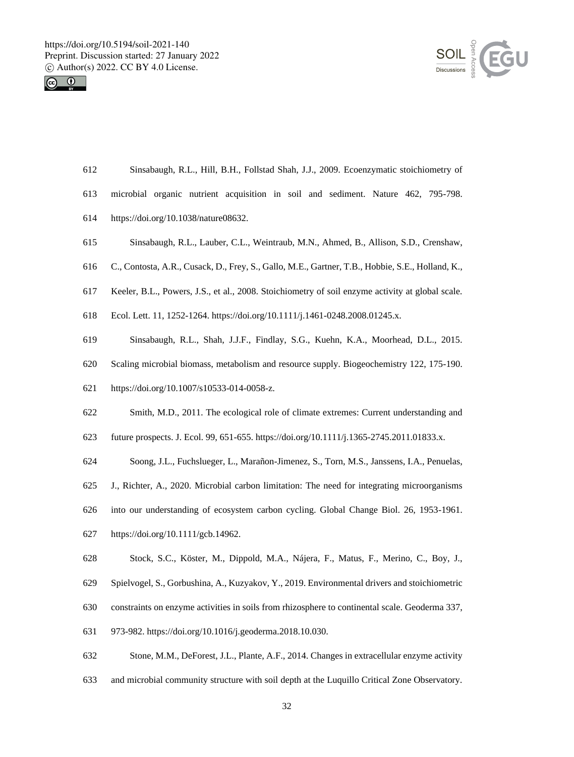



| 612 | Sinsabaugh, R.L., Hill, B.H., Follstad Shah, J.J., 2009. Ecoenzymatic stoichiometry of           |
|-----|--------------------------------------------------------------------------------------------------|
| 613 | microbial organic nutrient acquisition in soil and sediment. Nature 462, 795-798.                |
| 614 | https://doi.org/10.1038/nature08632.                                                             |
| 615 | Sinsabaugh, R.L., Lauber, C.L., Weintraub, M.N., Ahmed, B., Allison, S.D., Crenshaw,             |
| 616 | C., Contosta, A.R., Cusack, D., Frey, S., Gallo, M.E., Gartner, T.B., Hobbie, S.E., Holland, K., |
| 617 | Keeler, B.L., Powers, J.S., et al., 2008. Stoichiometry of soil enzyme activity at global scale. |
| 618 | Ecol. Lett. 11, 1252-1264. https://doi.org/10.1111/j.1461-0248.2008.01245.x.                     |
| 619 | Sinsabaugh, R.L., Shah, J.J.F., Findlay, S.G., Kuehn, K.A., Moorhead, D.L., 2015.                |
| 620 | Scaling microbial biomass, metabolism and resource supply. Biogeochemistry 122, 175-190.         |
| 621 | https://doi.org/10.1007/s10533-014-0058-z.                                                       |
| 622 | Smith, M.D., 2011. The ecological role of climate extremes: Current understanding and            |
| 623 | future prospects. J. Ecol. 99, 651-655. https://doi.org/10.1111/j.1365-2745.2011.01833.x.        |
| 624 | Soong, J.L., Fuchslueger, L., Marañon-Jimenez, S., Torn, M.S., Janssens, I.A., Penuelas,         |
| 625 | J., Richter, A., 2020. Microbial carbon limitation: The need for integrating microorganisms      |
| 626 | into our understanding of ecosystem carbon cycling. Global Change Biol. 26, 1953-1961.           |
| 627 | https://doi.org/10.1111/gcb.14962.                                                               |
| 628 | Stock, S.C., Köster, M., Dippold, M.A., Nájera, F., Matus, F., Merino, C., Boy, J.,              |
| 629 | Spielvogel, S., Gorbushina, A., Kuzyakov, Y., 2019. Environmental drivers and stoichiometric     |
| 630 | constraints on enzyme activities in soils from rhizosphere to continental scale. Geoderma 337,   |
| 631 | 973-982. https://doi.org/10.1016/j.geoderma.2018.10.030.                                         |
| 632 | Stone, M.M., DeForest, J.L., Plante, A.F., 2014. Changes in extracellular enzyme activity        |

and microbial community structure with soil depth at the Luquillo Critical Zone Observatory.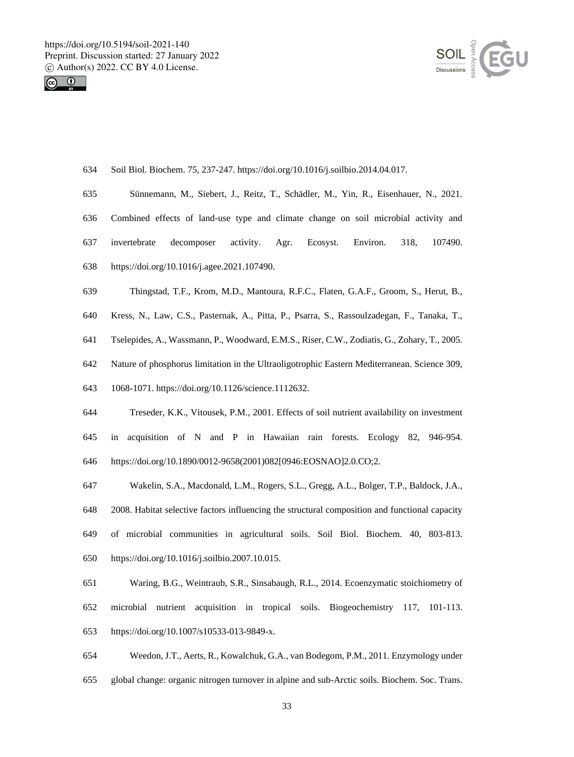



| 634 | Soil Biol. Biochem. 75, 237-247. https://doi.org/10.1016/j.soilbio.2014.04.017.                |
|-----|------------------------------------------------------------------------------------------------|
| 635 | Sünnemann, M., Siebert, J., Reitz, T., Schädler, M., Yin, R., Eisenhauer, N., 2021.            |
| 636 | Combined effects of land-use type and climate change on soil microbial activity and            |
| 637 | Environ.<br>invertebrate<br>decomposer<br>activity.<br>Agr.<br>Ecosyst.<br>318,<br>107490.     |
| 638 | https://doi.org/10.1016/j.agee.2021.107490.                                                    |
| 639 | Thingstad, T.F., Krom, M.D., Mantoura, R.F.C., Flaten, G.A.F., Groom, S., Herut, B.,           |
| 640 | Kress, N., Law, C.S., Pasternak, A., Pitta, P., Psarra, S., Rassoulzadegan, F., Tanaka, T.,    |
| 641 | Tselepides, A., Wassmann, P., Woodward, E.M.S., Riser, C.W., Zodiatis, G., Zohary, T., 2005.   |
| 642 | Nature of phosphorus limitation in the Ultraoligotrophic Eastern Mediterranean. Science 309,   |
| 643 | 1068-1071. https://doi.org/10.1126/science.1112632.                                            |
| 644 | Treseder, K.K., Vitousek, P.M., 2001. Effects of soil nutrient availability on investment      |
| 645 | acquisition of N and P in Hawaiian rain forests. Ecology 82,<br>946-954.<br>in                 |
| 646 | https://doi.org/10.1890/0012-9658(2001)082[0946:EOSNAO]2.0.CO;2.                               |
| 647 | Wakelin, S.A., Macdonald, L.M., Rogers, S.L., Gregg, A.L., Bolger, T.P., Baldock, J.A.,        |
| 648 | 2008. Habitat selective factors influencing the structural composition and functional capacity |
| 649 | of microbial communities in agricultural soils. Soil Biol. Biochem. 40, 803-813.               |
| 650 | https://doi.org/10.1016/j.soilbio.2007.10.015.                                                 |
| 651 | Waring, B.G., Weintraub, S.R., Sinsabaugh, R.L., 2014. Ecoenzymatic stoichiometry of           |
| 652 | microbial<br>nutrient acquisition in tropical soils. Biogeochemistry<br>117,<br>$101 - 113.$   |
| 653 | https://doi.org/10.1007/s10533-013-9849-x.                                                     |
| 654 | Weedon, J.T., Aerts, R., Kowalchuk, G.A., van Bodegom, P.M., 2011. Enzymology under            |

global change: organic nitrogen turnover in alpine and sub-Arctic soils. Biochem. Soc. Trans.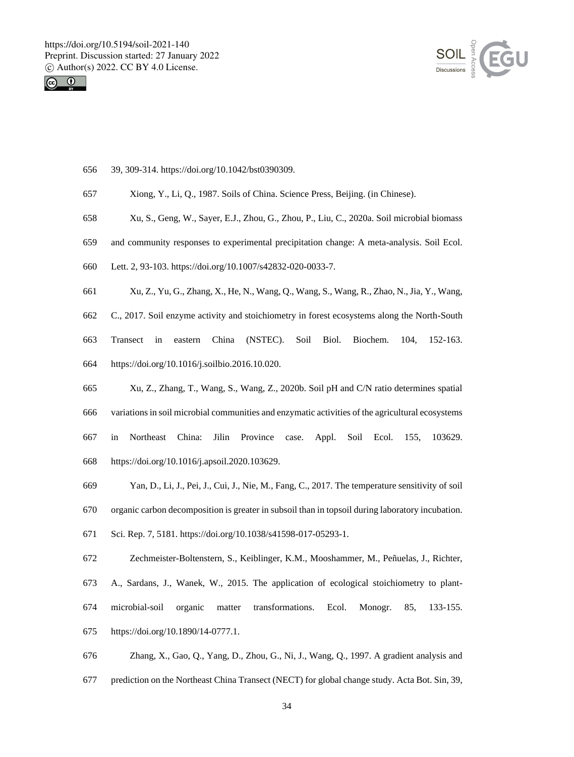



- 39, 309-314. https://doi.org/10.1042/bst0390309.
- Xiong, Y., Li, Q., 1987. Soils of China. Science Press, Beijing. (in Chinese).
- Xu, S., Geng, W., Sayer, E.J., Zhou, G., Zhou, P., Liu, C., 2020a. Soil microbial biomass
- and community responses to experimental precipitation change: A meta-analysis. Soil Ecol.
- Lett. 2, 93-103. https://doi.org/10.1007/s42832-020-0033-7.
- Xu, Z., Yu, G., Zhang, X., He, N., Wang, Q., Wang, S., Wang, R., Zhao, N., Jia, Y., Wang,
- C., 2017. Soil enzyme activity and stoichiometry in forest ecosystems along the North-South
- Transect in eastern China (NSTEC). Soil Biol. Biochem. 104, 152-163. https://doi.org/10.1016/j.soilbio.2016.10.020.
- Xu, Z., Zhang, T., Wang, S., Wang, Z., 2020b. Soil pH and C/N ratio determines spatial
- variations in soil microbial communities and enzymatic activities of the agricultural ecosystems in Northeast China: Jilin Province case. Appl. Soil Ecol. 155, 103629. https://doi.org/10.1016/j.apsoil.2020.103629.
- Yan, D., Li, J., Pei, J., Cui, J., Nie, M., Fang, C., 2017. The temperature sensitivity of soil organic carbon decomposition is greater in subsoil than in topsoil during laboratory incubation.
- Sci. Rep. 7, 5181. https://doi.org/10.1038/s41598-017-05293-1.
- Zechmeister-Boltenstern, S., Keiblinger, K.M., Mooshammer, M., Peñuelas, J., Richter, A., Sardans, J., Wanek, W., 2015. The application of ecological stoichiometry to plant- microbial-soil organic matter transformations. Ecol. Monogr. 85, 133-155. https://doi.org/10.1890/14-0777.1.
- Zhang, X., Gao, Q., Yang, D., Zhou, G., Ni, J., Wang, Q., 1997. A gradient analysis and prediction on the Northeast China Transect (NECT) for global change study. Acta Bot. Sin, 39,